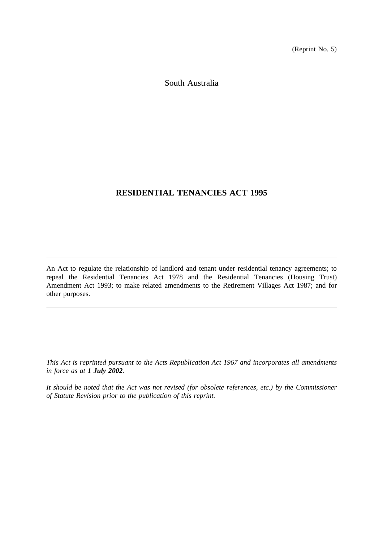(Reprint No. 5)

South Australia

# **RESIDENTIAL TENANCIES ACT 1995**

An Act to regulate the relationship of landlord and tenant under residential tenancy agreements; to repeal the Residential Tenancies Act 1978 and the Residential Tenancies (Housing Trust) Amendment Act 1993; to make related amendments to the Retirement Villages Act 1987; and for other purposes.

*This Act is reprinted pursuant to the Acts Republication Act 1967 and incorporates all amendments in force as at 1 July 2002.*

*It should be noted that the Act was not revised (for obsolete references, etc.) by the Commissioner of Statute Revision prior to the publication of this reprint.*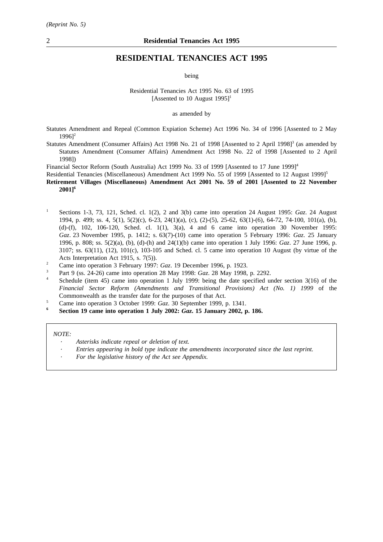## **RESIDENTIAL TENANCIES ACT 1995**

being

Residential Tenancies Act 1995 No. 63 of 1995 [Assented to 10 August 1995]<sup>1</sup>

as amended by

Statutes Amendment and Repeal (Common Expiation Scheme) Act 1996 No. 34 of 1996 [Assented to 2 May  $1996$ <sup>2</sup>

Statutes Amendment (Consumer Affairs) Act 1998 No. 21 of 1998 [Assented to 2 April 1998] $3$  (as amended by Statutes Amendment (Consumer Affairs) Amendment Act 1998 No. 22 of 1998 [Assented to 2 April 1998])

Financial Sector Reform (South Australia) Act 1999 No. 33 of 1999 [Assented to 17 June 1999]<sup>4</sup>

Residential Tenancies (Miscellaneous) Amendment Act 1999 No. 55 of 1999 [Assented to 12 August 1999]<sup>5</sup>

**Retirement Villages (Miscellaneous) Amendment Act 2001 No. 59 of 2001 [Assented to 22 November 2001]6**

- <sup>1</sup> Sections 1-3, 73, 121, Sched. cl. 1(2), 2 and 3(b) came into operation 24 August 1995: *Gaz*. 24 August 1994, p. 499; ss. 4, 5(1), 5(2)(c), 6-23, 24(1)(a), (c), (2)-(5), 25-62, 63(1)-(6), 64-72, 74-100, 101(a), (b), (d)-(f), 102, 106-120, Sched. cl. 1(1), 3(a), 4 and 6 came into operation 30 November 1995: *Gaz*. 23 November 1995, p. 1412; s. 63(7)-(10) came into operation 5 February 1996: *Gaz*. 25 January 1996, p. 808; ss. 5(2)(a), (b), (d)-(h) and 24(1)(b) came into operation 1 July 1996: *Gaz*. 27 June 1996, p. 3107; ss. 63(11), (12), 101(c), 103-105 and Sched. cl. 5 came into operation 10 August (by virtue of the Acts Interpretation Act 1915, s. 7(5)).
- <sup>2</sup> Came into operation 3 February 1997: *Gaz*. 19 December 1996, p. 1923.
- <sup>3</sup> Part 9 (ss. 24-26) came into operation 28 May 1998: *Gaz*. 28 May 1998, p. 2292.
- Schedule (item 45) came into operation 1 July 1999: being the date specified under section 3(16) of the *Financial Sector Reform (Amendments and Transitional Provisions) Act (No. 1) 1999* of the Commonwealth as the transfer date for the purposes of that Act.
- <sup>5</sup> Came into operation 3 October 1999:  $Gaz$ , 30 September 1999, p. 1341.
- **<sup>6</sup> Section 19 came into operation 1 July 2002:** *Gaz***. 15 January 2002, p. 186.**

*NOTE:*

- *Asterisks indicate repeal or deletion of text.*
	- *Entries appearing in bold type indicate the amendments incorporated since the last reprint.*
- *For the legislative history of the Act see Appendix.*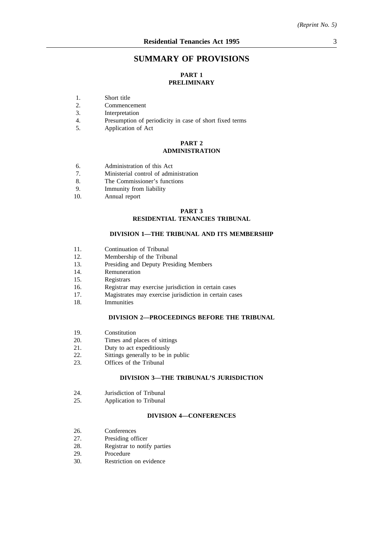# **SUMMARY OF PROVISIONS**

# **PART 1 PRELIMINARY**

- 1. Short title
- 2. Commencement
- 3. Interpretation
- 4. Presumption of periodicity in case of short fixed terms
- 5. Application of Act

#### **PART 2 ADMINISTRATION**

- 6. Administration of this Act
- 7. Ministerial control of administration
- 8. The Commissioner's functions
- 9. Immunity from liability
- 10. Annual report

#### **PART 3 RESIDENTIAL TENANCIES TRIBUNAL**

### **DIVISION 1—THE TRIBUNAL AND ITS MEMBERSHIP**

- 11. Continuation of Tribunal
- 12. Membership of the Tribunal
- 13. Presiding and Deputy Presiding Members<br>14. Remuneration
- Remuneration
- 15. Registrars
- 16. Registrar may exercise jurisdiction in certain cases
- 17. Magistrates may exercise jurisdiction in certain cases
- 18. Immunities

### **DIVISION 2—PROCEEDINGS BEFORE THE TRIBUNAL**

- 19. Constitution
- 20. Times and places of sittings
- 21. Duty to act expeditiously
- 22. Sittings generally to be in public
- 23. Offices of the Tribunal

### **DIVISION 3—THE TRIBUNAL'S JURISDICTION**

- 24. Jurisdiction of Tribunal
- 25. Application to Tribunal

#### **DIVISION 4—CONFERENCES**

- 26. Conferences
- 27. Presiding officer
- 28. Registrar to notify parties
- 29. Procedure
- 30. Restriction on evidence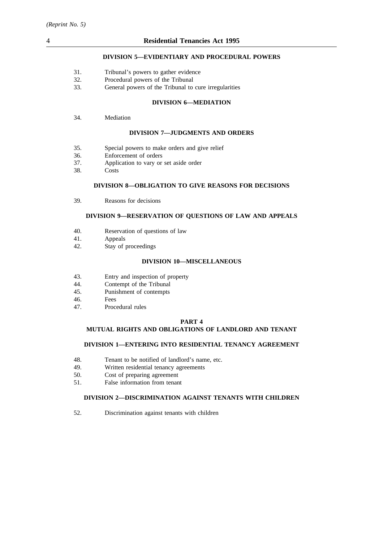## **DIVISION 5—EVIDENTIARY AND PROCEDURAL POWERS**

- 31. Tribunal's powers to gather evidence
- 32. Procedural powers of the Tribunal
- 33. General powers of the Tribunal to cure irregularities

## **DIVISION 6—MEDIATION**

34. Mediation

## **DIVISION 7—JUDGMENTS AND ORDERS**

- 35. Special powers to make orders and give relief
- 36. Enforcement of orders
- 37. Application to vary or set aside order
- 38. Costs

## **DIVISION 8—OBLIGATION TO GIVE REASONS FOR DECISIONS**

39. Reasons for decisions

## **DIVISION 9—RESERVATION OF QUESTIONS OF LAW AND APPEALS**

- 40. Reservation of questions of law
- 41. Appeals
- 42. Stay of proceedings

#### **DIVISION 10—MISCELLANEOUS**

- 43. Entry and inspection of property
- 44. Contempt of the Tribunal
- 45. Punishment of contempts
- 46. Fees
- 47. Procedural rules

#### **PART 4**

## **MUTUAL RIGHTS AND OBLIGATIONS OF LANDLORD AND TENANT**

### **DIVISION 1—ENTERING INTO RESIDENTIAL TENANCY AGREEMENT**

- 48. Tenant to be notified of landlord's name, etc.
- 49. Written residential tenancy agreements
- 50. Cost of preparing agreement
- 51. False information from tenant

#### **DIVISION 2—DISCRIMINATION AGAINST TENANTS WITH CHILDREN**

52. Discrimination against tenants with children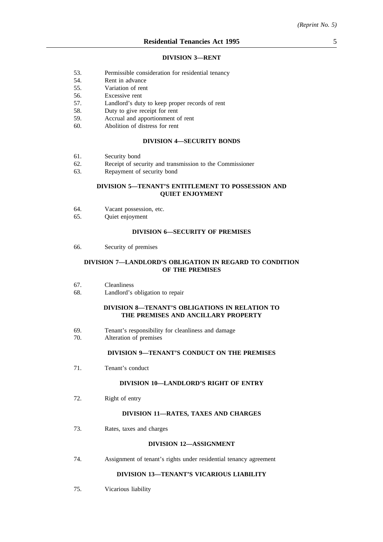#### **DIVISION 3—RENT**

- 53. Permissible consideration for residential tenancy
- 54. Rent in advance
- 55. Variation of rent
- 56. Excessive rent
- 57. Landlord's duty to keep proper records of rent
- 58. Duty to give receipt for rent
- 59. Accrual and apportionment of rent
- 60. Abolition of distress for rent

### **DIVISION 4—SECURITY BONDS**

- 61. Security bond
- 62. Receipt of security and transmission to the Commissioner
- 63. Repayment of security bond

### **DIVISION 5—TENANT'S ENTITLEMENT TO POSSESSION AND QUIET ENJOYMENT**

- 64. Vacant possession, etc.
- 65. Quiet enjoyment

## **DIVISION 6—SECURITY OF PREMISES**

66. Security of premises

### **DIVISION 7—LANDLORD'S OBLIGATION IN REGARD TO CONDITION OF THE PREMISES**

- 67. Cleanliness
- 68. Landlord's obligation to repair

## **DIVISION 8—TENANT'S OBLIGATIONS IN RELATION TO THE PREMISES AND ANCILLARY PROPERTY**

- 69. Tenant's responsibility for cleanliness and damage
- 70. Alteration of premises

## **DIVISION 9—TENANT'S CONDUCT ON THE PREMISES**

71. Tenant's conduct

### **DIVISION 10—LANDLORD'S RIGHT OF ENTRY**

72. Right of entry

#### **DIVISION 11—RATES, TAXES AND CHARGES**

73. Rates, taxes and charges

#### **DIVISION 12—ASSIGNMENT**

74. Assignment of tenant's rights under residential tenancy agreement

### **DIVISION 13—TENANT'S VICARIOUS LIABILITY**

75. Vicarious liability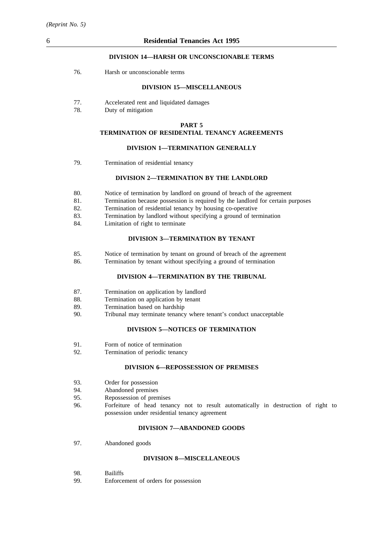## **DIVISION 14—HARSH OR UNCONSCIONABLE TERMS**

76. Harsh or unconscionable terms

### **DIVISION 15—MISCELLANEOUS**

- 77. Accelerated rent and liquidated damages
- 78. Duty of mitigation

### **PART 5 TERMINATION OF RESIDENTIAL TENANCY AGREEMENTS**

#### **DIVISION 1—TERMINATION GENERALLY**

79. Termination of residential tenancy

### **DIVISION 2—TERMINATION BY THE LANDLORD**

- 80. Notice of termination by landlord on ground of breach of the agreement
- 81. Termination because possession is required by the landlord for certain purposes
- 82. Termination of residential tenancy by housing co-operative
- 83. Termination by landlord without specifying a ground of termination
- 84. Limitation of right to terminate

### **DIVISION 3—TERMINATION BY TENANT**

- 85. Notice of termination by tenant on ground of breach of the agreement
- 86. Termination by tenant without specifying a ground of termination

### **DIVISION 4—TERMINATION BY THE TRIBUNAL**

- 87. Termination on application by landlord
- 88. Termination on application by tenant
- 89. Termination based on hardship
- 90. Tribunal may terminate tenancy where tenant's conduct unacceptable

# **DIVISION 5—NOTICES OF TERMINATION**

- 91. Form of notice of termination
- 92. Termination of periodic tenancy

## **DIVISION 6—REPOSSESSION OF PREMISES**

- 93. Order for possession
- 94. Abandoned premises
- 95. Repossession of premises
- 96. Forfeiture of head tenancy not to result automatically in destruction of right to possession under residential tenancy agreement

#### **DIVISION 7—ABANDONED GOODS**

97. Abandoned goods

#### **DIVISION 8—MISCELLANEOUS**

- 98. Bailiffs
- 99. Enforcement of orders for possession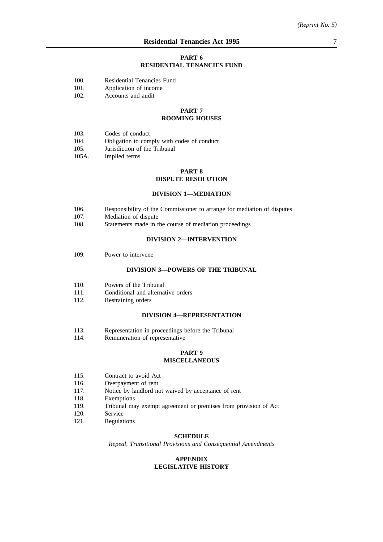### **PART 6 RESIDENTIAL TENANCIES FUND**

- 100. Residential Tenancies Fund
- 101. Application of income
- 102. Accounts and audit

# **PART 7**

## **ROOMING HOUSES**

- 103. Codes of conduct
- 104. Obligation to comply with codes of conduct
- 105. Jurisdiction of the Tribunal
- 105A. Implied terms

## **PART 8 DISPUTE RESOLUTION**

## **DIVISION 1—MEDIATION**

- 106. Responsibility of the Commissioner to arrange for mediation of disputes
- 107. Mediation of dispute
- 108. Statements made in the course of mediation proceedings

### **DIVISION 2—INTERVENTION**

109. Power to intervene

### **DIVISION 3—POWERS OF THE TRIBUNAL**

- 110. Powers of the Tribunal
- 111. Conditional and alternative orders
- 112. Restraining orders

### **DIVISION 4—REPRESENTATION**

- 113. Representation in proceedings before the Tribunal
- 114. Remuneration of representative

### **PART 9 MISCELLANEOUS**

- 115. Contract to avoid Act
- 116. Overpayment of rent
- 117. Notice by landlord not waived by acceptance of rent
- 118. Exemptions
- 119. Tribunal may exempt agreement or premises from provision of Act
- 120. Service
- 121. Regulations

## **SCHEDULE**

*Repeal, Transitional Provisions and Consequential Amendments*

#### **APPENDIX LEGISLATIVE HISTORY**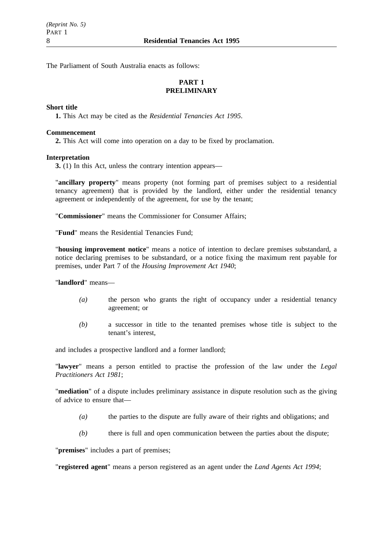The Parliament of South Australia enacts as follows:

# **PART 1 PRELIMINARY**

## **Short title**

**1.** This Act may be cited as the *Residential Tenancies Act 1995*.

## **Commencement**

**2.** This Act will come into operation on a day to be fixed by proclamation.

## **Interpretation**

**3.** (1) In this Act, unless the contrary intention appears—

"**ancillary property**" means property (not forming part of premises subject to a residential tenancy agreement) that is provided by the landlord, either under the residential tenancy agreement or independently of the agreement, for use by the tenant;

"**Commissioner**" means the Commissioner for Consumer Affairs;

"**Fund**" means the Residential Tenancies Fund;

"**housing improvement notice**" means a notice of intention to declare premises substandard, a notice declaring premises to be substandard, or a notice fixing the maximum rent payable for premises, under Part 7 of the *Housing Improvement Act 1940*;

"**landlord**" means—

- *(a)* the person who grants the right of occupancy under a residential tenancy agreement; or
- *(b)* a successor in title to the tenanted premises whose title is subject to the tenant's interest,

and includes a prospective landlord and a former landlord;

"**lawyer**" means a person entitled to practise the profession of the law under the *Legal Practitioners Act 1981*;

"**mediation**" of a dispute includes preliminary assistance in dispute resolution such as the giving of advice to ensure that—

- *(a)* the parties to the dispute are fully aware of their rights and obligations; and
- *(b)* there is full and open communication between the parties about the dispute;

"**premises**" includes a part of premises;

"**registered agent**" means a person registered as an agent under the *Land Agents Act 1994*;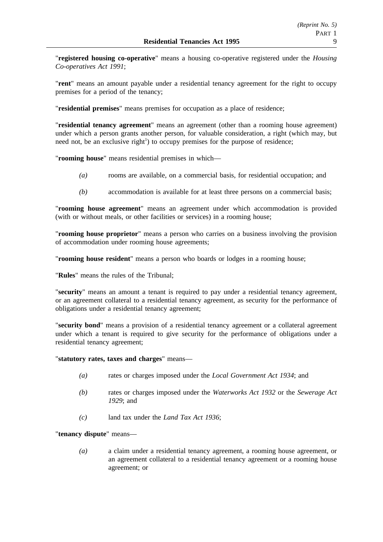"**registered housing co-operative**" means a housing co-operative registered under the *Housing Co-operatives Act 1991*;

"**rent**" means an amount payable under a residential tenancy agreement for the right to occupy premises for a period of the tenancy;

"**residential premises**" means premises for occupation as a place of residence;

"**residential tenancy agreement**" means an agreement (other than a rooming house agreement) under which a person grants another person, for valuable consideration, a right (which may, but need not, be an exclusive right<sup>1</sup>) to occupy premises for the purpose of residence;

"**rooming house**" means residential premises in which—

- *(a)* rooms are available, on a commercial basis, for residential occupation; and
- *(b)* accommodation is available for at least three persons on a commercial basis;

"**rooming house agreement**" means an agreement under which accommodation is provided (with or without meals, or other facilities or services) in a rooming house;

"**rooming house proprietor**" means a person who carries on a business involving the provision of accommodation under rooming house agreements;

"**rooming house resident**" means a person who boards or lodges in a rooming house;

"**Rules**" means the rules of the Tribunal;

"**security**" means an amount a tenant is required to pay under a residential tenancy agreement, or an agreement collateral to a residential tenancy agreement, as security for the performance of obligations under a residential tenancy agreement;

"**security bond**" means a provision of a residential tenancy agreement or a collateral agreement under which a tenant is required to give security for the performance of obligations under a residential tenancy agreement;

"**statutory rates, taxes and charges**" means—

- *(a)* rates or charges imposed under the *Local Government Act 1934*; and
- *(b)* rates or charges imposed under the *Waterworks Act 1932* or the *Sewerage Act 1929*; and
- *(c)* land tax under the *Land Tax Act 1936*;

"**tenancy dispute**" means—

*(a)* a claim under a residential tenancy agreement, a rooming house agreement, or an agreement collateral to a residential tenancy agreement or a rooming house agreement; or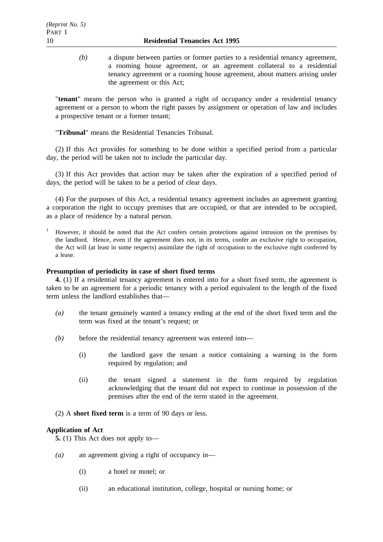*(b)* a dispute between parties or former parties to a residential tenancy agreement, a rooming house agreement, or an agreement collateral to a residential tenancy agreement or a rooming house agreement, about matters arising under the agreement or this Act;

"**tenant**" means the person who is granted a right of occupancy under a residential tenancy agreement or a person to whom the right passes by assignment or operation of law and includes a prospective tenant or a former tenant;

"**Tribunal**" means the Residential Tenancies Tribunal.

(2) If this Act provides for something to be done within a specified period from a particular day, the period will be taken not to include the particular day.

(3) If this Act provides that action may be taken after the expiration of a specified period of days, the period will be taken to be a period of clear days.

(4) For the purposes of this Act, a residential tenancy agreement includes an agreement granting a corporation the right to occupy premises that are occupied, or that are intended to be occupied, as a place of residence by a natural person.

<sup>1</sup> However, it should be noted that the Act confers certain protections against intrusion on the premises by the landlord. Hence, even if the agreement does not, in its terms, confer an exclusive right to occupation, the Act will (at least in some respects) assimilate the right of occupation to the exclusive right conferred by a lease.

## **Presumption of periodicity in case of short fixed terms**

**4.** (1) If a residential tenancy agreement is entered into for a short fixed term, the agreement is taken to be an agreement for a periodic tenancy with a period equivalent to the length of the fixed term unless the landlord establishes that—

- *(a)* the tenant genuinely wanted a tenancy ending at the end of the short fixed term and the term was fixed at the tenant's request; or
- *(b)* before the residential tenancy agreement was entered into—
	- (i) the landlord gave the tenant a notice containing a warning in the form required by regulation; and
	- (ii) the tenant signed a statement in the form required by regulation acknowledging that the tenant did not expect to continue in possession of the premises after the end of the term stated in the agreement.
- (2) A **short fixed term** is a term of 90 days or less.

## **Application of Act**

**5.** (1) This Act does not apply to—

- *(a)* an agreement giving a right of occupancy in—
	- (i) a hotel or motel; or
	- (ii) an educational institution, college, hospital or nursing home; or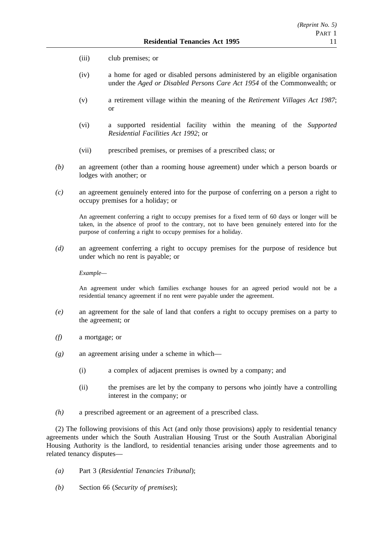- (iii) club premises; or
- (iv) a home for aged or disabled persons administered by an eligible organisation under the *Aged or Disabled Persons Care Act 1954* of the Commonwealth; or
- (v) a retirement village within the meaning of the *Retirement Villages Act 1987*; or
- (vi) a supported residential facility within the meaning of the *Supported Residential Facilities Act 1992*; or
- (vii) prescribed premises, or premises of a prescribed class; or
- *(b)* an agreement (other than a rooming house agreement) under which a person boards or lodges with another; or
- *(c)* an agreement genuinely entered into for the purpose of conferring on a person a right to occupy premises for a holiday; or

An agreement conferring a right to occupy premises for a fixed term of 60 days or longer will be taken, in the absence of proof to the contrary, not to have been genuinely entered into for the purpose of conferring a right to occupy premises for a holiday.

*(d)* an agreement conferring a right to occupy premises for the purpose of residence but under which no rent is payable; or

*Example—*

An agreement under which families exchange houses for an agreed period would not be a residential tenancy agreement if no rent were payable under the agreement.

- *(e)* an agreement for the sale of land that confers a right to occupy premises on a party to the agreement; or
- *(f)* a mortgage; or
- *(g)* an agreement arising under a scheme in which—
	- (i) a complex of adjacent premises is owned by a company; and
	- (ii) the premises are let by the company to persons who jointly have a controlling interest in the company; or
- *(h)* a prescribed agreement or an agreement of a prescribed class.

(2) The following provisions of this Act (and only those provisions) apply to residential tenancy agreements under which the South Australian Housing Trust or the South Australian Aboriginal Housing Authority is the landlord, to residential tenancies arising under those agreements and to related tenancy disputes—

- *(a)* Part 3 (*Residential Tenancies Tribunal*);
- *(b)* Section 66 (*Security of premises*);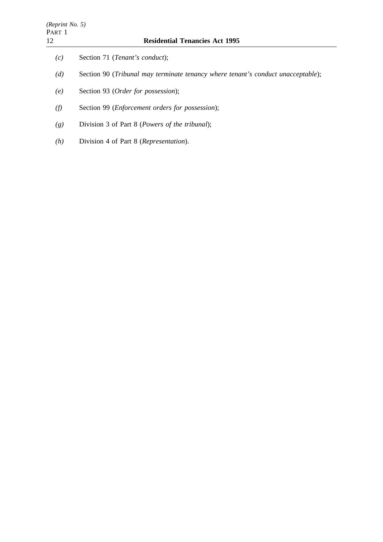- *(d)* Section 90 (*Tribunal may terminate tenancy where tenant's conduct unacceptable*);
- *(e)* Section 93 (*Order for possession*);
- *(f)* Section 99 (*Enforcement orders for possession*);
- *(g)* Division 3 of Part 8 (*Powers of the tribunal*);
- *(h)* Division 4 of Part 8 (*Representation*).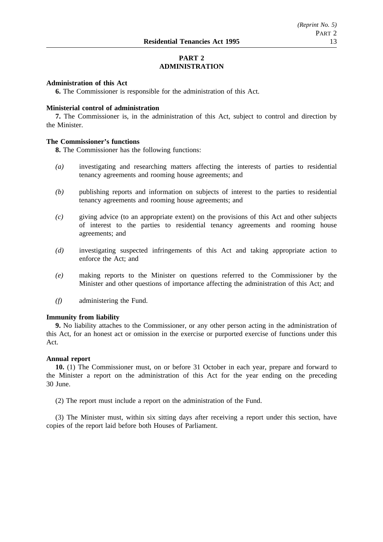# **PART 2 ADMINISTRATION**

## **Administration of this Act**

**6.** The Commissioner is responsible for the administration of this Act.

### **Ministerial control of administration**

**7.** The Commissioner is, in the administration of this Act, subject to control and direction by the Minister.

## **The Commissioner's functions**

**8.** The Commissioner has the following functions:

- *(a)* investigating and researching matters affecting the interests of parties to residential tenancy agreements and rooming house agreements; and
- *(b)* publishing reports and information on subjects of interest to the parties to residential tenancy agreements and rooming house agreements; and
- *(c)* giving advice (to an appropriate extent) on the provisions of this Act and other subjects of interest to the parties to residential tenancy agreements and rooming house agreements; and
- *(d)* investigating suspected infringements of this Act and taking appropriate action to enforce the Act; and
- *(e)* making reports to the Minister on questions referred to the Commissioner by the Minister and other questions of importance affecting the administration of this Act; and
- *(f)* administering the Fund.

### **Immunity from liability**

**9.** No liability attaches to the Commissioner, or any other person acting in the administration of this Act, for an honest act or omission in the exercise or purported exercise of functions under this Act.

#### **Annual report**

**10.** (1) The Commissioner must, on or before 31 October in each year, prepare and forward to the Minister a report on the administration of this Act for the year ending on the preceding 30 June.

(2) The report must include a report on the administration of the Fund.

(3) The Minister must, within six sitting days after receiving a report under this section, have copies of the report laid before both Houses of Parliament.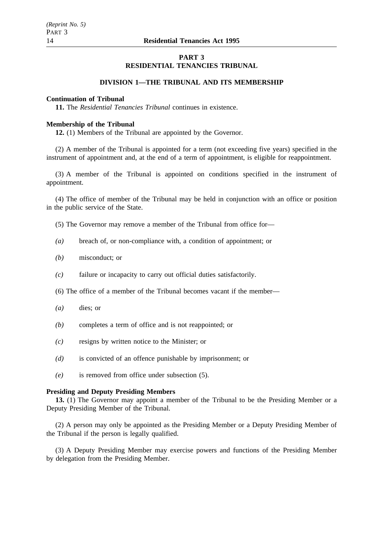## **PART 3 RESIDENTIAL TENANCIES TRIBUNAL**

## **DIVISION 1—THE TRIBUNAL AND ITS MEMBERSHIP**

### **Continuation of Tribunal**

**11.** The *Residential Tenancies Tribunal* continues in existence.

## **Membership of the Tribunal**

**12.** (1) Members of the Tribunal are appointed by the Governor.

(2) A member of the Tribunal is appointed for a term (not exceeding five years) specified in the instrument of appointment and, at the end of a term of appointment, is eligible for reappointment.

(3) A member of the Tribunal is appointed on conditions specified in the instrument of appointment.

(4) The office of member of the Tribunal may be held in conjunction with an office or position in the public service of the State.

- (5) The Governor may remove a member of the Tribunal from office for—
- *(a)* breach of, or non-compliance with, a condition of appointment; or
- *(b)* misconduct; or
- *(c)* failure or incapacity to carry out official duties satisfactorily.
- (6) The office of a member of the Tribunal becomes vacant if the member—
- *(a)* dies; or
- *(b)* completes a term of office and is not reappointed; or
- *(c)* resigns by written notice to the Minister; or
- *(d)* is convicted of an offence punishable by imprisonment; or
- *(e)* is removed from office under subsection (5).

## **Presiding and Deputy Presiding Members**

**13.** (1) The Governor may appoint a member of the Tribunal to be the Presiding Member or a Deputy Presiding Member of the Tribunal.

(2) A person may only be appointed as the Presiding Member or a Deputy Presiding Member of the Tribunal if the person is legally qualified.

(3) A Deputy Presiding Member may exercise powers and functions of the Presiding Member by delegation from the Presiding Member.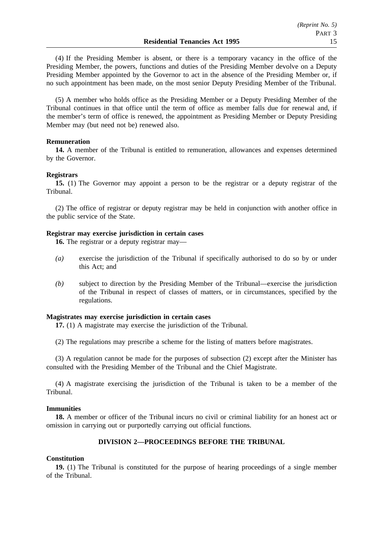(4) If the Presiding Member is absent, or there is a temporary vacancy in the office of the Presiding Member, the powers, functions and duties of the Presiding Member devolve on a Deputy Presiding Member appointed by the Governor to act in the absence of the Presiding Member or, if no such appointment has been made, on the most senior Deputy Presiding Member of the Tribunal.

(5) A member who holds office as the Presiding Member or a Deputy Presiding Member of the Tribunal continues in that office until the term of office as member falls due for renewal and, if the member's term of office is renewed, the appointment as Presiding Member or Deputy Presiding Member may (but need not be) renewed also.

## **Remuneration**

**14.** A member of the Tribunal is entitled to remuneration, allowances and expenses determined by the Governor.

## **Registrars**

**15.** (1) The Governor may appoint a person to be the registrar or a deputy registrar of the Tribunal.

(2) The office of registrar or deputy registrar may be held in conjunction with another office in the public service of the State.

## **Registrar may exercise jurisdiction in certain cases**

**16.** The registrar or a deputy registrar may—

- *(a)* exercise the jurisdiction of the Tribunal if specifically authorised to do so by or under this Act; and
- *(b)* subject to direction by the Presiding Member of the Tribunal—exercise the jurisdiction of the Tribunal in respect of classes of matters, or in circumstances, specified by the regulations.

## **Magistrates may exercise jurisdiction in certain cases**

**17.** (1) A magistrate may exercise the jurisdiction of the Tribunal.

(2) The regulations may prescribe a scheme for the listing of matters before magistrates.

(3) A regulation cannot be made for the purposes of subsection (2) except after the Minister has consulted with the Presiding Member of the Tribunal and the Chief Magistrate.

(4) A magistrate exercising the jurisdiction of the Tribunal is taken to be a member of the Tribunal.

## **Immunities**

**18.** A member or officer of the Tribunal incurs no civil or criminal liability for an honest act or omission in carrying out or purportedly carrying out official functions.

## **DIVISION 2—PROCEEDINGS BEFORE THE TRIBUNAL**

## **Constitution**

**19.** (1) The Tribunal is constituted for the purpose of hearing proceedings of a single member of the Tribunal.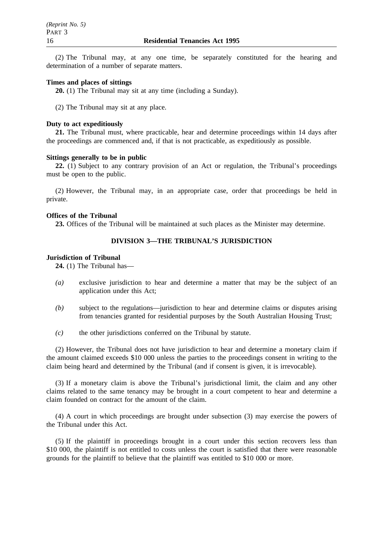(2) The Tribunal may, at any one time, be separately constituted for the hearing and determination of a number of separate matters.

## **Times and places of sittings**

**20.** (1) The Tribunal may sit at any time (including a Sunday).

(2) The Tribunal may sit at any place.

### **Duty to act expeditiously**

**21.** The Tribunal must, where practicable, hear and determine proceedings within 14 days after the proceedings are commenced and, if that is not practicable, as expeditiously as possible.

#### **Sittings generally to be in public**

**22.** (1) Subject to any contrary provision of an Act or regulation, the Tribunal's proceedings must be open to the public.

(2) However, the Tribunal may, in an appropriate case, order that proceedings be held in private.

## **Offices of the Tribunal**

**23.** Offices of the Tribunal will be maintained at such places as the Minister may determine.

## **DIVISION 3—THE TRIBUNAL'S JURISDICTION**

### **Jurisdiction of Tribunal**

**24.** (1) The Tribunal has—

- *(a)* exclusive jurisdiction to hear and determine a matter that may be the subject of an application under this Act;
- *(b)* subject to the regulations—jurisdiction to hear and determine claims or disputes arising from tenancies granted for residential purposes by the South Australian Housing Trust;
- *(c)* the other jurisdictions conferred on the Tribunal by statute.

(2) However, the Tribunal does not have jurisdiction to hear and determine a monetary claim if the amount claimed exceeds \$10 000 unless the parties to the proceedings consent in writing to the claim being heard and determined by the Tribunal (and if consent is given, it is irrevocable).

(3) If a monetary claim is above the Tribunal's jurisdictional limit, the claim and any other claims related to the same tenancy may be brought in a court competent to hear and determine a claim founded on contract for the amount of the claim.

(4) A court in which proceedings are brought under subsection (3) may exercise the powers of the Tribunal under this Act.

(5) If the plaintiff in proceedings brought in a court under this section recovers less than \$10 000, the plaintiff is not entitled to costs unless the court is satisfied that there were reasonable grounds for the plaintiff to believe that the plaintiff was entitled to \$10 000 or more.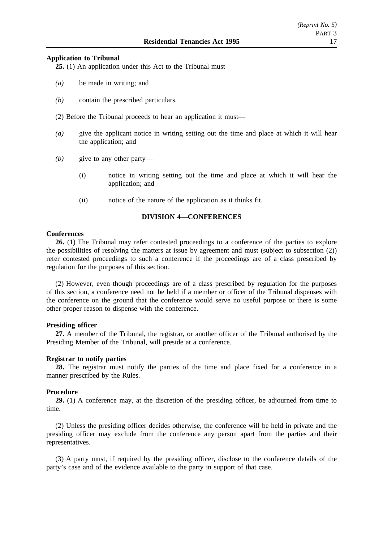## **Application to Tribunal**

**25.** (1) An application under this Act to the Tribunal must—

- *(a)* be made in writing; and
- *(b)* contain the prescribed particulars.
- (2) Before the Tribunal proceeds to hear an application it must—
- *(a)* give the applicant notice in writing setting out the time and place at which it will hear the application; and
- *(b)* give to any other party—
	- (i) notice in writing setting out the time and place at which it will hear the application; and
	- (ii) notice of the nature of the application as it thinks fit.

## **DIVISION 4—CONFERENCES**

## **Conferences**

**26.** (1) The Tribunal may refer contested proceedings to a conference of the parties to explore the possibilities of resolving the matters at issue by agreement and must (subject to subsection (2)) refer contested proceedings to such a conference if the proceedings are of a class prescribed by regulation for the purposes of this section.

(2) However, even though proceedings are of a class prescribed by regulation for the purposes of this section, a conference need not be held if a member or officer of the Tribunal dispenses with the conference on the ground that the conference would serve no useful purpose or there is some other proper reason to dispense with the conference.

## **Presiding officer**

**27.** A member of the Tribunal, the registrar, or another officer of the Tribunal authorised by the Presiding Member of the Tribunal, will preside at a conference.

## **Registrar to notify parties**

**28.** The registrar must notify the parties of the time and place fixed for a conference in a manner prescribed by the Rules.

## **Procedure**

**29.** (1) A conference may, at the discretion of the presiding officer, be adjourned from time to time.

(2) Unless the presiding officer decides otherwise, the conference will be held in private and the presiding officer may exclude from the conference any person apart from the parties and their representatives.

(3) A party must, if required by the presiding officer, disclose to the conference details of the party's case and of the evidence available to the party in support of that case.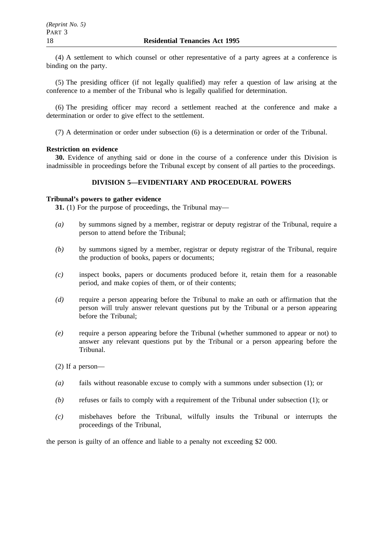(4) A settlement to which counsel or other representative of a party agrees at a conference is binding on the party.

(5) The presiding officer (if not legally qualified) may refer a question of law arising at the conference to a member of the Tribunal who is legally qualified for determination.

(6) The presiding officer may record a settlement reached at the conference and make a determination or order to give effect to the settlement.

(7) A determination or order under subsection (6) is a determination or order of the Tribunal.

## **Restriction on evidence**

**30.** Evidence of anything said or done in the course of a conference under this Division is inadmissible in proceedings before the Tribunal except by consent of all parties to the proceedings.

## **DIVISION 5—EVIDENTIARY AND PROCEDURAL POWERS**

## **Tribunal's powers to gather evidence**

**31.** (1) For the purpose of proceedings, the Tribunal may—

- *(a)* by summons signed by a member, registrar or deputy registrar of the Tribunal, require a person to attend before the Tribunal;
- *(b)* by summons signed by a member, registrar or deputy registrar of the Tribunal, require the production of books, papers or documents;
- *(c)* inspect books, papers or documents produced before it, retain them for a reasonable period, and make copies of them, or of their contents;
- *(d)* require a person appearing before the Tribunal to make an oath or affirmation that the person will truly answer relevant questions put by the Tribunal or a person appearing before the Tribunal;
- *(e)* require a person appearing before the Tribunal (whether summoned to appear or not) to answer any relevant questions put by the Tribunal or a person appearing before the Tribunal.

(2) If a person—

- *(a)* fails without reasonable excuse to comply with a summons under subsection (1); or
- *(b)* refuses or fails to comply with a requirement of the Tribunal under subsection (1); or
- *(c)* misbehaves before the Tribunal, wilfully insults the Tribunal or interrupts the proceedings of the Tribunal,

the person is guilty of an offence and liable to a penalty not exceeding \$2 000.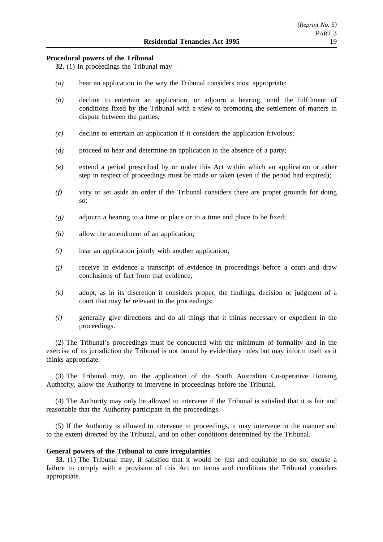## **Procedural powers of the Tribunal**

**32.** (1) In proceedings the Tribunal may—

- *(a)* hear an application in the way the Tribunal considers most appropriate;
- *(b)* decline to entertain an application, or adjourn a hearing, until the fulfilment of conditions fixed by the Tribunal with a view to promoting the settlement of matters in dispute between the parties;
- *(c)* decline to entertain an application if it considers the application frivolous;
- *(d)* proceed to hear and determine an application in the absence of a party;
- *(e)* extend a period prescribed by or under this Act within which an application or other step in respect of proceedings must be made or taken (even if the period had expired);
- *(f)* vary or set aside an order if the Tribunal considers there are proper grounds for doing so;
- *(g)* adjourn a hearing to a time or place or to a time and place to be fixed;
- *(h)* allow the amendment of an application;
- *(i)* hear an application jointly with another application;
- *(j)* receive in evidence a transcript of evidence in proceedings before a court and draw conclusions of fact from that evidence;
- *(k)* adopt, as in its discretion it considers proper, the findings, decision or judgment of a court that may be relevant to the proceedings;
- *(l)* generally give directions and do all things that it thinks necessary or expedient in the proceedings.

(2) The Tribunal's proceedings must be conducted with the minimum of formality and in the exercise of its jurisdiction the Tribunal is not bound by evidentiary rules but may inform itself as it thinks appropriate.

(3) The Tribunal may, on the application of the South Australian Co-operative Housing Authority, allow the Authority to intervene in proceedings before the Tribunal.

(4) The Authority may only be allowed to intervene if the Tribunal is satisfied that it is fair and reasonable that the Authority participate in the proceedings.

(5) If the Authority is allowed to intervene in proceedings, it may intervene in the manner and to the extent directed by the Tribunal, and on other conditions determined by the Tribunal.

#### **General powers of the Tribunal to cure irregularities**

**33.** (1) The Tribunal may, if satisfied that it would be just and equitable to do so, excuse a failure to comply with a provision of this Act on terms and conditions the Tribunal considers appropriate.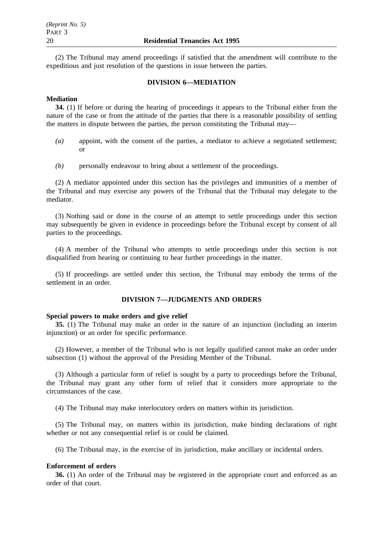(2) The Tribunal may amend proceedings if satisfied that the amendment will contribute to the expeditious and just resolution of the questions in issue between the parties.

## **DIVISION 6—MEDIATION**

#### **Mediation**

**34.** (1) If before or during the hearing of proceedings it appears to the Tribunal either from the nature of the case or from the attitude of the parties that there is a reasonable possibility of settling the matters in dispute between the parties, the person constituting the Tribunal may—

- *(a)* appoint, with the consent of the parties, a mediator to achieve a negotiated settlement; or
- *(b)* personally endeavour to bring about a settlement of the proceedings.

(2) A mediator appointed under this section has the privileges and immunities of a member of the Tribunal and may exercise any powers of the Tribunal that the Tribunal may delegate to the mediator.

(3) Nothing said or done in the course of an attempt to settle proceedings under this section may subsequently be given in evidence in proceedings before the Tribunal except by consent of all parties to the proceedings.

(4) A member of the Tribunal who attempts to settle proceedings under this section is not disqualified from hearing or continuing to hear further proceedings in the matter.

(5) If proceedings are settled under this section, the Tribunal may embody the terms of the settlement in an order.

## **DIVISION 7—JUDGMENTS AND ORDERS**

#### **Special powers to make orders and give relief**

**35.** (1) The Tribunal may make an order in the nature of an injunction (including an interim injunction) or an order for specific performance.

(2) However, a member of the Tribunal who is not legally qualified cannot make an order under subsection (1) without the approval of the Presiding Member of the Tribunal.

(3) Although a particular form of relief is sought by a party to proceedings before the Tribunal, the Tribunal may grant any other form of relief that it considers more appropriate to the circumstances of the case.

(4) The Tribunal may make interlocutory orders on matters within its jurisdiction.

(5) The Tribunal may, on matters within its jurisdiction, make binding declarations of right whether or not any consequential relief is or could be claimed.

(6) The Tribunal may, in the exercise of its jurisdiction, make ancillary or incidental orders.

#### **Enforcement of orders**

**36.** (1) An order of the Tribunal may be registered in the appropriate court and enforced as an order of that court.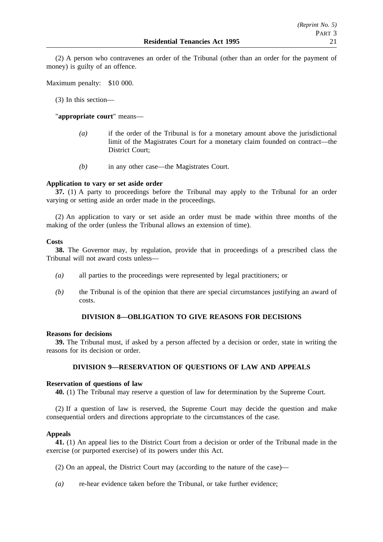(2) A person who contravenes an order of the Tribunal (other than an order for the payment of money) is guilty of an offence.

Maximum penalty: \$10 000.

(3) In this section—

"**appropriate court**" means—

- *(a)* if the order of the Tribunal is for a monetary amount above the jurisdictional limit of the Magistrates Court for a monetary claim founded on contract—the District Court;
- *(b)* in any other case—the Magistrates Court.

## **Application to vary or set aside order**

**37.** (1) A party to proceedings before the Tribunal may apply to the Tribunal for an order varying or setting aside an order made in the proceedings.

(2) An application to vary or set aside an order must be made within three months of the making of the order (unless the Tribunal allows an extension of time).

## **Costs**

**38.** The Governor may, by regulation, provide that in proceedings of a prescribed class the Tribunal will not award costs unless—

- *(a)* all parties to the proceedings were represented by legal practitioners; or
- *(b)* the Tribunal is of the opinion that there are special circumstances justifying an award of costs.

## **DIVISION 8—OBLIGATION TO GIVE REASONS FOR DECISIONS**

## **Reasons for decisions**

**39.** The Tribunal must, if asked by a person affected by a decision or order, state in writing the reasons for its decision or order.

## **DIVISION 9—RESERVATION OF QUESTIONS OF LAW AND APPEALS**

## **Reservation of questions of law**

**40.** (1) The Tribunal may reserve a question of law for determination by the Supreme Court.

(2) If a question of law is reserved, the Supreme Court may decide the question and make consequential orders and directions appropriate to the circumstances of the case.

## **Appeals**

**41.** (1) An appeal lies to the District Court from a decision or order of the Tribunal made in the exercise (or purported exercise) of its powers under this Act.

- (2) On an appeal, the District Court may (according to the nature of the case)—
- *(a)* re-hear evidence taken before the Tribunal, or take further evidence;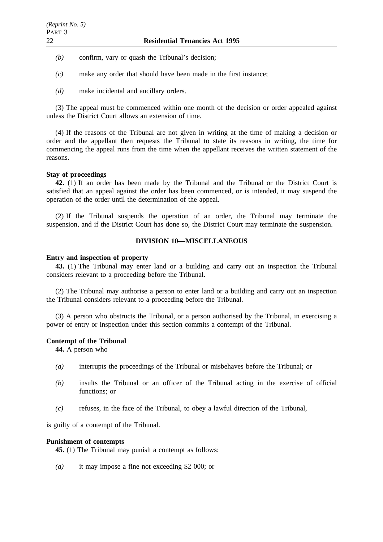- *(b)* confirm, vary or quash the Tribunal's decision;
- *(c)* make any order that should have been made in the first instance;
- *(d)* make incidental and ancillary orders.

(3) The appeal must be commenced within one month of the decision or order appealed against unless the District Court allows an extension of time.

(4) If the reasons of the Tribunal are not given in writing at the time of making a decision or order and the appellant then requests the Tribunal to state its reasons in writing, the time for commencing the appeal runs from the time when the appellant receives the written statement of the reasons.

## **Stay of proceedings**

**42.** (1) If an order has been made by the Tribunal and the Tribunal or the District Court is satisfied that an appeal against the order has been commenced, or is intended, it may suspend the operation of the order until the determination of the appeal.

(2) If the Tribunal suspends the operation of an order, the Tribunal may terminate the suspension, and if the District Court has done so, the District Court may terminate the suspension.

# **DIVISION 10—MISCELLANEOUS**

### **Entry and inspection of property**

**43.** (1) The Tribunal may enter land or a building and carry out an inspection the Tribunal considers relevant to a proceeding before the Tribunal.

(2) The Tribunal may authorise a person to enter land or a building and carry out an inspection the Tribunal considers relevant to a proceeding before the Tribunal.

(3) A person who obstructs the Tribunal, or a person authorised by the Tribunal, in exercising a power of entry or inspection under this section commits a contempt of the Tribunal.

## **Contempt of the Tribunal**

**44.** A person who—

- *(a)* interrupts the proceedings of the Tribunal or misbehaves before the Tribunal; or
- *(b)* insults the Tribunal or an officer of the Tribunal acting in the exercise of official functions; or
- *(c)* refuses, in the face of the Tribunal, to obey a lawful direction of the Tribunal,

is guilty of a contempt of the Tribunal.

### **Punishment of contempts**

**45.** (1) The Tribunal may punish a contempt as follows:

*(a)* it may impose a fine not exceeding \$2 000; or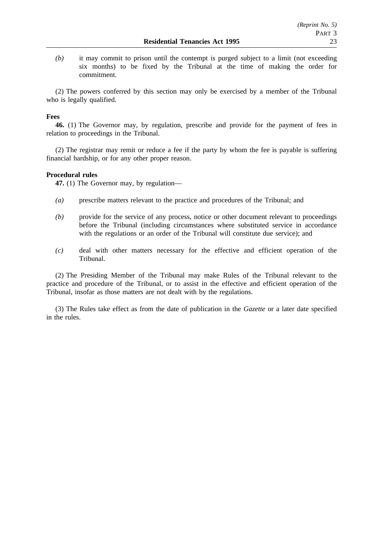*(b)* it may commit to prison until the contempt is purged subject to a limit (not exceeding six months) to be fixed by the Tribunal at the time of making the order for commitment.

(2) The powers conferred by this section may only be exercised by a member of the Tribunal who is legally qualified.

## **Fees**

**46.** (1) The Governor may, by regulation, prescribe and provide for the payment of fees in relation to proceedings in the Tribunal.

(2) The registrar may remit or reduce a fee if the party by whom the fee is payable is suffering financial hardship, or for any other proper reason.

## **Procedural rules**

**47.** (1) The Governor may, by regulation—

- *(a)* prescribe matters relevant to the practice and procedures of the Tribunal; and
- *(b)* provide for the service of any process, notice or other document relevant to proceedings before the Tribunal (including circumstances where substituted service in accordance with the regulations or an order of the Tribunal will constitute due service); and
- *(c)* deal with other matters necessary for the effective and efficient operation of the Tribunal.

(2) The Presiding Member of the Tribunal may make Rules of the Tribunal relevant to the practice and procedure of the Tribunal, or to assist in the effective and efficient operation of the Tribunal, insofar as those matters are not dealt with by the regulations.

(3) The Rules take effect as from the date of publication in the *Gazette* or a later date specified in the rules.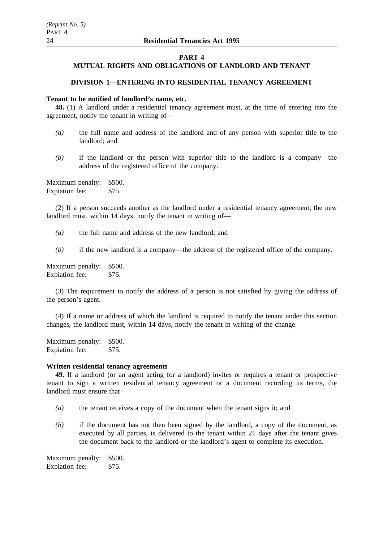#### **PART 4**

## **MUTUAL RIGHTS AND OBLIGATIONS OF LANDLORD AND TENANT**

## **DIVISION 1—ENTERING INTO RESIDENTIAL TENANCY AGREEMENT**

### **Tenant to be notified of landlord's name, etc.**

**48.** (1) A landlord under a residential tenancy agreement must, at the time of entering into the agreement, notify the tenant in writing of—

- *(a)* the full name and address of the landlord and of any person with superior title to the landlord; and
- *(b)* if the landlord or the person with superior title to the landlord is a company—the address of the registered office of the company.

Maximum penalty: \$500. Expiation fee: \$75.

(2) If a person succeeds another as the landlord under a residential tenancy agreement, the new landlord must, within 14 days, notify the tenant in writing of—

*(a)* the full name and address of the new landlord; and

*(b)* if the new landlord is a company—the address of the registered office of the company.

Maximum penalty: \$500. Expiation fee: \$75.

(3) The requirement to notify the address of a person is not satisfied by giving the address of the person's agent.

(4) If a name or address of which the landlord is required to notify the tenant under this section changes, the landlord must, within 14 days, notify the tenant in writing of the change.

Maximum penalty: \$500. Expiation fee: \$75.

#### **Written residential tenancy agreements**

**49.** If a landlord (or an agent acting for a landlord) invites or requires a tenant or prospective tenant to sign a written residential tenancy agreement or a document recording its terms, the landlord must ensure that—

- *(a)* the tenant receives a copy of the document when the tenant signs it; and
- *(b)* if the document has not then been signed by the landlord, a copy of the document, as executed by all parties, is delivered to the tenant within 21 days after the tenant gives the document back to the landlord or the landlord's agent to complete its execution.

Maximum penalty: \$500. Expiation fee: \$75.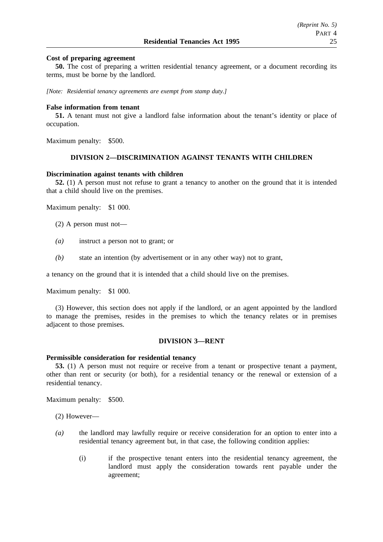## **Cost of preparing agreement**

**50.** The cost of preparing a written residential tenancy agreement, or a document recording its terms, must be borne by the landlord.

*[Note: Residential tenancy agreements are exempt from stamp duty.]*

### **False information from tenant**

**51.** A tenant must not give a landlord false information about the tenant's identity or place of occupation.

Maximum penalty: \$500.

### **DIVISION 2—DISCRIMINATION AGAINST TENANTS WITH CHILDREN**

#### **Discrimination against tenants with children**

**52.** (1) A person must not refuse to grant a tenancy to another on the ground that it is intended that a child should live on the premises.

Maximum penalty: \$1 000.

- (2) A person must not—
- *(a)* instruct a person not to grant; or
- *(b)* state an intention (by advertisement or in any other way) not to grant,

a tenancy on the ground that it is intended that a child should live on the premises.

Maximum penalty: \$1 000.

(3) However, this section does not apply if the landlord, or an agent appointed by the landlord to manage the premises, resides in the premises to which the tenancy relates or in premises adjacent to those premises.

### **DIVISION 3—RENT**

#### **Permissible consideration for residential tenancy**

**53.** (1) A person must not require or receive from a tenant or prospective tenant a payment, other than rent or security (or both), for a residential tenancy or the renewal or extension of a residential tenancy.

Maximum penalty: \$500.

(2) However—

- *(a)* the landlord may lawfully require or receive consideration for an option to enter into a residential tenancy agreement but, in that case, the following condition applies:
	- (i) if the prospective tenant enters into the residential tenancy agreement, the landlord must apply the consideration towards rent payable under the agreement;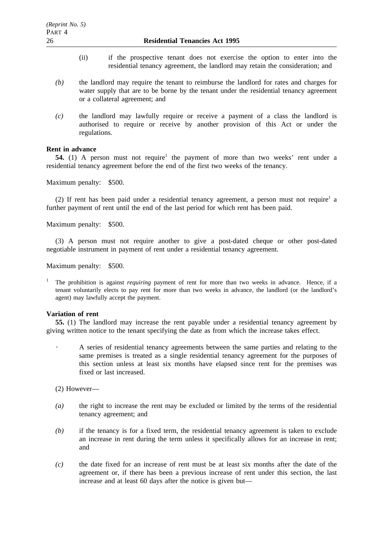- (ii) if the prospective tenant does not exercise the option to enter into the residential tenancy agreement, the landlord may retain the consideration; and
- *(b)* the landlord may require the tenant to reimburse the landlord for rates and charges for water supply that are to be borne by the tenant under the residential tenancy agreement or a collateral agreement; and
- *(c)* the landlord may lawfully require or receive a payment of a class the landlord is authorised to require or receive by another provision of this Act or under the regulations.

## **Rent in advance**

**54.** (1) A person must not require<sup>1</sup> the payment of more than two weeks' rent under a residential tenancy agreement before the end of the first two weeks of the tenancy.

Maximum penalty: \$500.

(2) If rent has been paid under a residential tenancy agreement, a person must not require<sup>1</sup> a further payment of rent until the end of the last period for which rent has been paid.

Maximum penalty: \$500.

(3) A person must not require another to give a post-dated cheque or other post-dated negotiable instrument in payment of rent under a residential tenancy agreement.

Maximum penalty: \$500.

<sup>1</sup> The prohibition is against *requiring* payment of rent for more than two weeks in advance. Hence, if a tenant voluntarily elects to pay rent for more than two weeks in advance, the landlord (or the landlord's agent) may lawfully accept the payment.

#### **Variation of rent**

**55.** (1) The landlord may increase the rent payable under a residential tenancy agreement by giving written notice to the tenant specifying the date as from which the increase takes effect.

A series of residential tenancy agreements between the same parties and relating to the same premises is treated as a single residential tenancy agreement for the purposes of this section unless at least six months have elapsed since rent for the premises was fixed or last increased.

(2) However—

- *(a)* the right to increase the rent may be excluded or limited by the terms of the residential tenancy agreement; and
- *(b)* if the tenancy is for a fixed term, the residential tenancy agreement is taken to exclude an increase in rent during the term unless it specifically allows for an increase in rent; and
- *(c)* the date fixed for an increase of rent must be at least six months after the date of the agreement or, if there has been a previous increase of rent under this section, the last increase and at least 60 days after the notice is given but—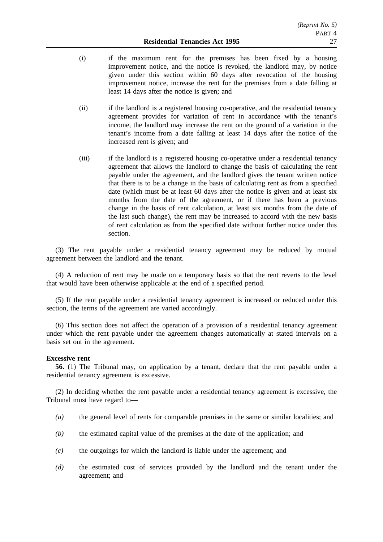- (i) if the maximum rent for the premises has been fixed by a housing improvement notice, and the notice is revoked, the landlord may, by notice given under this section within 60 days after revocation of the housing improvement notice, increase the rent for the premises from a date falling at least 14 days after the notice is given; and
- (ii) if the landlord is a registered housing co-operative, and the residential tenancy agreement provides for variation of rent in accordance with the tenant's income, the landlord may increase the rent on the ground of a variation in the tenant's income from a date falling at least 14 days after the notice of the increased rent is given; and
- (iii) if the landlord is a registered housing co-operative under a residential tenancy agreement that allows the landlord to change the basis of calculating the rent payable under the agreement, and the landlord gives the tenant written notice that there is to be a change in the basis of calculating rent as from a specified date (which must be at least 60 days after the notice is given and at least six months from the date of the agreement, or if there has been a previous change in the basis of rent calculation, at least six months from the date of the last such change), the rent may be increased to accord with the new basis of rent calculation as from the specified date without further notice under this section.

(3) The rent payable under a residential tenancy agreement may be reduced by mutual agreement between the landlord and the tenant.

(4) A reduction of rent may be made on a temporary basis so that the rent reverts to the level that would have been otherwise applicable at the end of a specified period.

(5) If the rent payable under a residential tenancy agreement is increased or reduced under this section, the terms of the agreement are varied accordingly.

(6) This section does not affect the operation of a provision of a residential tenancy agreement under which the rent payable under the agreement changes automatically at stated intervals on a basis set out in the agreement.

#### **Excessive rent**

**56.** (1) The Tribunal may, on application by a tenant, declare that the rent payable under a residential tenancy agreement is excessive.

(2) In deciding whether the rent payable under a residential tenancy agreement is excessive, the Tribunal must have regard to—

- *(a)* the general level of rents for comparable premises in the same or similar localities; and
- *(b)* the estimated capital value of the premises at the date of the application; and
- *(c)* the outgoings for which the landlord is liable under the agreement; and
- *(d)* the estimated cost of services provided by the landlord and the tenant under the agreement; and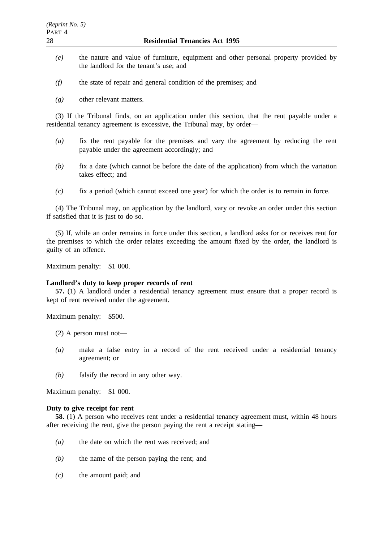- *(e)* the nature and value of furniture, equipment and other personal property provided by the landlord for the tenant's use; and
- *(f)* the state of repair and general condition of the premises; and
- *(g)* other relevant matters.

(3) If the Tribunal finds, on an application under this section, that the rent payable under a residential tenancy agreement is excessive, the Tribunal may, by order—

- *(a)* fix the rent payable for the premises and vary the agreement by reducing the rent payable under the agreement accordingly; and
- *(b)* fix a date (which cannot be before the date of the application) from which the variation takes effect; and
- *(c)* fix a period (which cannot exceed one year) for which the order is to remain in force.

(4) The Tribunal may, on application by the landlord, vary or revoke an order under this section if satisfied that it is just to do so.

(5) If, while an order remains in force under this section, a landlord asks for or receives rent for the premises to which the order relates exceeding the amount fixed by the order, the landlord is guilty of an offence.

Maximum penalty: \$1 000.

### **Landlord's duty to keep proper records of rent**

**57.** (1) A landlord under a residential tenancy agreement must ensure that a proper record is kept of rent received under the agreement.

Maximum penalty: \$500.

- (2) A person must not—
- *(a)* make a false entry in a record of the rent received under a residential tenancy agreement; or
- *(b)* falsify the record in any other way.

Maximum penalty: \$1 000.

#### **Duty to give receipt for rent**

**58.** (1) A person who receives rent under a residential tenancy agreement must, within 48 hours after receiving the rent, give the person paying the rent a receipt stating—

- *(a)* the date on which the rent was received; and
- *(b)* the name of the person paying the rent; and
- *(c)* the amount paid; and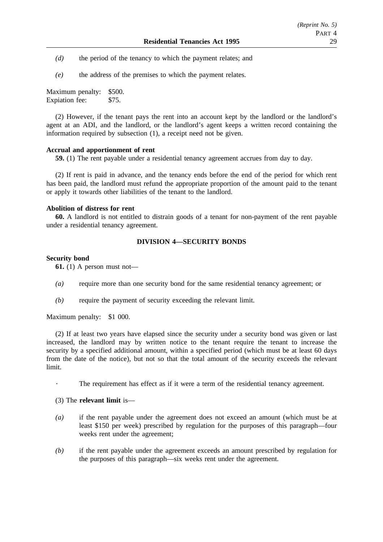- *(d)* the period of the tenancy to which the payment relates; and
- *(e)* the address of the premises to which the payment relates.

Maximum penalty: \$500. Expiation fee: \$75.

(2) However, if the tenant pays the rent into an account kept by the landlord or the landlord's agent at an ADI, and the landlord, or the landlord's agent keeps a written record containing the information required by subsection (1), a receipt need not be given.

## **Accrual and apportionment of rent**

**59.** (1) The rent payable under a residential tenancy agreement accrues from day to day.

(2) If rent is paid in advance, and the tenancy ends before the end of the period for which rent has been paid, the landlord must refund the appropriate proportion of the amount paid to the tenant or apply it towards other liabilities of the tenant to the landlord.

## **Abolition of distress for rent**

**60.** A landlord is not entitled to distrain goods of a tenant for non-payment of the rent payable under a residential tenancy agreement.

## **DIVISION 4—SECURITY BONDS**

## **Security bond**

**61.** (1) A person must not—

- *(a)* require more than one security bond for the same residential tenancy agreement; or
- *(b)* require the payment of security exceeding the relevant limit.

Maximum penalty: \$1 000.

(2) If at least two years have elapsed since the security under a security bond was given or last increased, the landlord may by written notice to the tenant require the tenant to increase the security by a specified additional amount, within a specified period (which must be at least 60 days from the date of the notice), but not so that the total amount of the security exceeds the relevant limit.

The requirement has effect as if it were a term of the residential tenancy agreement.

## (3) The **relevant limit** is—

- *(a)* if the rent payable under the agreement does not exceed an amount (which must be at least \$150 per week) prescribed by regulation for the purposes of this paragraph—four weeks rent under the agreement;
- *(b)* if the rent payable under the agreement exceeds an amount prescribed by regulation for the purposes of this paragraph—six weeks rent under the agreement.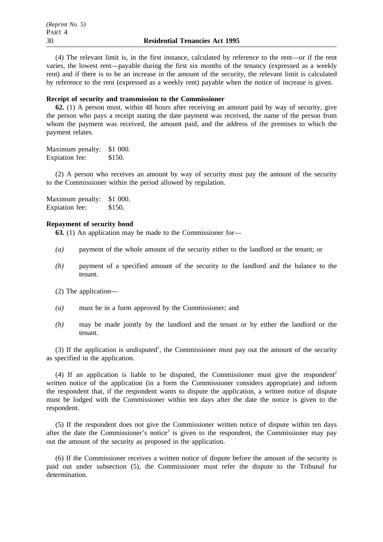(4) The relevant limit is, in the first instance, calculated by reference to the rent—or if the rent varies, the lowest rent—payable during the first six months of the tenancy (expressed as a weekly rent) and if there is to be an increase in the amount of the security, the relevant limit is calculated by reference to the rent (expressed as a weekly rent) payable when the notice of increase is given.

### **Receipt of security and transmission to the Commissioner**

**62.** (1) A person must, within 48 hours after receiving an amount paid by way of security, give the person who pays a receipt stating the date payment was received, the name of the person from whom the payment was received, the amount paid, and the address of the premises to which the payment relates.

Maximum penalty: \$1 000. Expiation fee: \$150.

(2) A person who receives an amount by way of security must pay the amount of the security to the Commissioner within the period allowed by regulation.

Maximum penalty: \$1 000. Expiation fee: \$150.

## **Repayment of security bond**

**63.** (1) An application may be made to the Commissioner for—

- *(a)* payment of the whole amount of the security either to the landlord or the tenant; or
- *(b)* payment of a specified amount of the security to the landlord and the balance to the tenant.

(2) The application—

- *(a)* must be in a form approved by the Commissioner; and
- *(b)* may be made jointly by the landlord and the tenant or by either the landlord or the tenant.

(3) If the application is undisputed<sup>1</sup>, the Commissioner must pay out the amount of the security as specified in the application.

(4) If an application is liable to be disputed, the Commissioner must give the respondent<sup>2</sup> written notice of the application (in a form the Commissioner considers appropriate) and inform the respondent that, if the respondent wants to dispute the application, a written notice of dispute must be lodged with the Commissioner within ten days after the date the notice is given to the respondent.

(5) If the respondent does not give the Commissioner written notice of dispute within ten days after the date the Commissioner's notice<sup>3</sup> is given to the respondent, the Commissioner may pay out the amount of the security as proposed in the application.

(6) If the Commissioner receives a written notice of dispute before the amount of the security is paid out under subsection (5), the Commissioner must refer the dispute to the Tribunal for determination.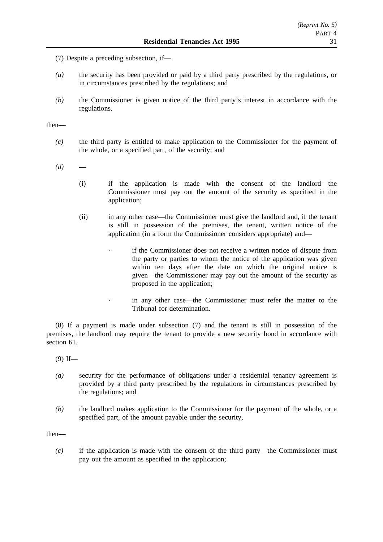- (7) Despite a preceding subsection, if—
- *(a)* the security has been provided or paid by a third party prescribed by the regulations, or in circumstances prescribed by the regulations; and
- *(b)* the Commissioner is given notice of the third party's interest in accordance with the regulations,

then—

- *(c)* the third party is entitled to make application to the Commissioner for the payment of the whole, or a specified part, of the security; and
- $(d)$ 
	- (i) if the application is made with the consent of the landlord—the Commissioner must pay out the amount of the security as specified in the application;
	- (ii) in any other case—the Commissioner must give the landlord and, if the tenant is still in possession of the premises, the tenant, written notice of the application (in a form the Commissioner considers appropriate) and
		- if the Commissioner does not receive a written notice of dispute from the party or parties to whom the notice of the application was given within ten days after the date on which the original notice is given—the Commissioner may pay out the amount of the security as proposed in the application;
		- in any other case—the Commissioner must refer the matter to the Tribunal for determination.

(8) If a payment is made under subsection (7) and the tenant is still in possession of the premises, the landlord may require the tenant to provide a new security bond in accordance with section 61.

 $(9)$  If—

- *(a)* security for the performance of obligations under a residential tenancy agreement is provided by a third party prescribed by the regulations in circumstances prescribed by the regulations; and
- *(b)* the landlord makes application to the Commissioner for the payment of the whole, or a specified part, of the amount payable under the security,

then—

*(c)* if the application is made with the consent of the third party—the Commissioner must pay out the amount as specified in the application;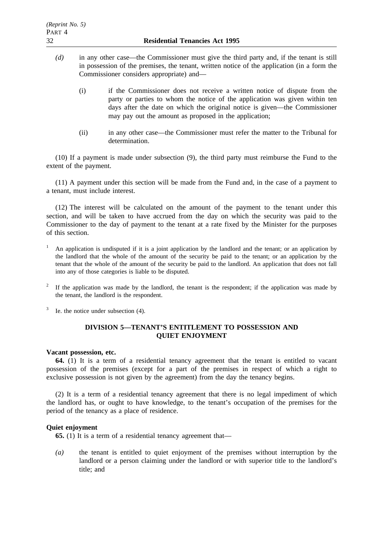- *(d)* in any other case—the Commissioner must give the third party and, if the tenant is still in possession of the premises, the tenant, written notice of the application (in a form the Commissioner considers appropriate) and—
	- (i) if the Commissioner does not receive a written notice of dispute from the party or parties to whom the notice of the application was given within ten days after the date on which the original notice is given—the Commissioner may pay out the amount as proposed in the application;
	- (ii) in any other case—the Commissioner must refer the matter to the Tribunal for determination.

(10) If a payment is made under subsection (9), the third party must reimburse the Fund to the extent of the payment.

(11) A payment under this section will be made from the Fund and, in the case of a payment to a tenant, must include interest.

(12) The interest will be calculated on the amount of the payment to the tenant under this section, and will be taken to have accrued from the day on which the security was paid to the Commissioner to the day of payment to the tenant at a rate fixed by the Minister for the purposes of this section.

- <sup>1</sup> An application is undisputed if it is a joint application by the landlord and the tenant; or an application by the landlord that the whole of the amount of the security be paid to the tenant; or an application by the tenant that the whole of the amount of the security be paid to the landlord. An application that does not fall into any of those categories is liable to be disputed.
- <sup>2</sup> If the application was made by the landlord, the tenant is the respondent; if the application was made by the tenant, the landlord is the respondent.
- Ie. the notice under subsection (4).

## **DIVISION 5—TENANT'S ENTITLEMENT TO POSSESSION AND QUIET ENJOYMENT**

#### **Vacant possession, etc.**

**64.** (1) It is a term of a residential tenancy agreement that the tenant is entitled to vacant possession of the premises (except for a part of the premises in respect of which a right to exclusive possession is not given by the agreement) from the day the tenancy begins.

(2) It is a term of a residential tenancy agreement that there is no legal impediment of which the landlord has, or ought to have knowledge, to the tenant's occupation of the premises for the period of the tenancy as a place of residence.

## **Quiet enjoyment**

**65.** (1) It is a term of a residential tenancy agreement that—

*(a)* the tenant is entitled to quiet enjoyment of the premises without interruption by the landlord or a person claiming under the landlord or with superior title to the landlord's title; and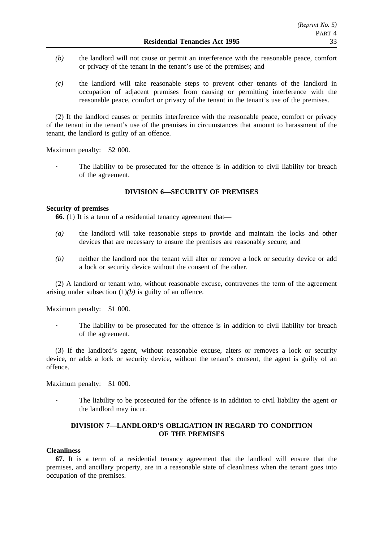- *(b)* the landlord will not cause or permit an interference with the reasonable peace, comfort or privacy of the tenant in the tenant's use of the premises; and
- *(c)* the landlord will take reasonable steps to prevent other tenants of the landlord in occupation of adjacent premises from causing or permitting interference with the reasonable peace, comfort or privacy of the tenant in the tenant's use of the premises.

(2) If the landlord causes or permits interference with the reasonable peace, comfort or privacy of the tenant in the tenant's use of the premises in circumstances that amount to harassment of the tenant, the landlord is guilty of an offence.

Maximum penalty: \$2 000.

The liability to be prosecuted for the offence is in addition to civil liability for breach of the agreement.

## **DIVISION 6—SECURITY OF PREMISES**

## **Security of premises**

**66.** (1) It is a term of a residential tenancy agreement that—

- *(a)* the landlord will take reasonable steps to provide and maintain the locks and other devices that are necessary to ensure the premises are reasonably secure; and
- *(b)* neither the landlord nor the tenant will alter or remove a lock or security device or add a lock or security device without the consent of the other.

(2) A landlord or tenant who, without reasonable excuse, contravenes the term of the agreement arising under subsection  $(1)(b)$  is guilty of an offence.

Maximum penalty: \$1 000.

The liability to be prosecuted for the offence is in addition to civil liability for breach of the agreement.

(3) If the landlord's agent, without reasonable excuse, alters or removes a lock or security device, or adds a lock or security device, without the tenant's consent, the agent is guilty of an offence.

Maximum penalty: \$1 000.

The liability to be prosecuted for the offence is in addition to civil liability the agent or the landlord may incur.

## **DIVISION 7—LANDLORD'S OBLIGATION IN REGARD TO CONDITION OF THE PREMISES**

## **Cleanliness**

**67.** It is a term of a residential tenancy agreement that the landlord will ensure that the premises, and ancillary property, are in a reasonable state of cleanliness when the tenant goes into occupation of the premises.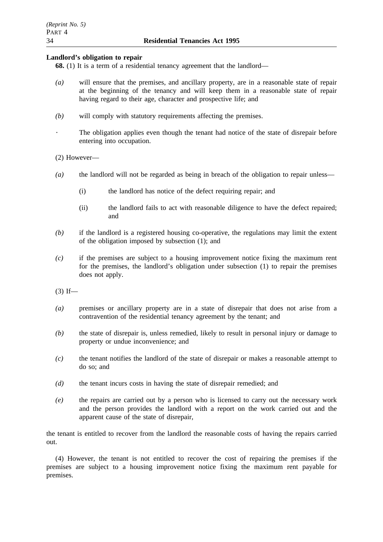## **Landlord's obligation to repair**

**68.** (1) It is a term of a residential tenancy agreement that the landlord—

- *(a)* will ensure that the premises, and ancillary property, are in a reasonable state of repair at the beginning of the tenancy and will keep them in a reasonable state of repair having regard to their age, character and prospective life; and
- *(b)* will comply with statutory requirements affecting the premises.
	- The obligation applies even though the tenant had notice of the state of disrepair before entering into occupation.

## (2) However—

- *(a)* the landlord will not be regarded as being in breach of the obligation to repair unless—
	- (i) the landlord has notice of the defect requiring repair; and
	- (ii) the landlord fails to act with reasonable diligence to have the defect repaired; and
- *(b)* if the landlord is a registered housing co-operative, the regulations may limit the extent of the obligation imposed by subsection (1); and
- *(c)* if the premises are subject to a housing improvement notice fixing the maximum rent for the premises, the landlord's obligation under subsection (1) to repair the premises does not apply.

 $(3)$  If—

- *(a)* premises or ancillary property are in a state of disrepair that does not arise from a contravention of the residential tenancy agreement by the tenant; and
- *(b)* the state of disrepair is, unless remedied, likely to result in personal injury or damage to property or undue inconvenience; and
- *(c)* the tenant notifies the landlord of the state of disrepair or makes a reasonable attempt to do so; and
- *(d)* the tenant incurs costs in having the state of disrepair remedied; and
- *(e)* the repairs are carried out by a person who is licensed to carry out the necessary work and the person provides the landlord with a report on the work carried out and the apparent cause of the state of disrepair,

the tenant is entitled to recover from the landlord the reasonable costs of having the repairs carried out.

(4) However, the tenant is not entitled to recover the cost of repairing the premises if the premises are subject to a housing improvement notice fixing the maximum rent payable for premises.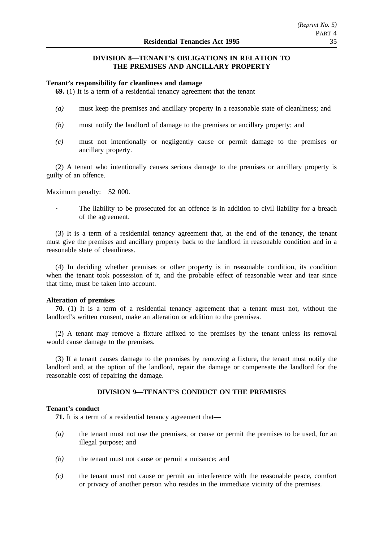## **DIVISION 8—TENANT'S OBLIGATIONS IN RELATION TO THE PREMISES AND ANCILLARY PROPERTY**

### **Tenant's responsibility for cleanliness and damage**

**69.** (1) It is a term of a residential tenancy agreement that the tenant—

- *(a)* must keep the premises and ancillary property in a reasonable state of cleanliness; and
- *(b)* must notify the landlord of damage to the premises or ancillary property; and
- *(c)* must not intentionally or negligently cause or permit damage to the premises or ancillary property.

(2) A tenant who intentionally causes serious damage to the premises or ancillary property is guilty of an offence.

Maximum penalty: \$2 000.

The liability to be prosecuted for an offence is in addition to civil liability for a breach of the agreement.

(3) It is a term of a residential tenancy agreement that, at the end of the tenancy, the tenant must give the premises and ancillary property back to the landlord in reasonable condition and in a reasonable state of cleanliness.

(4) In deciding whether premises or other property is in reasonable condition, its condition when the tenant took possession of it, and the probable effect of reasonable wear and tear since that time, must be taken into account.

## **Alteration of premises**

**70.** (1) It is a term of a residential tenancy agreement that a tenant must not, without the landlord's written consent, make an alteration or addition to the premises.

(2) A tenant may remove a fixture affixed to the premises by the tenant unless its removal would cause damage to the premises.

(3) If a tenant causes damage to the premises by removing a fixture, the tenant must notify the landlord and, at the option of the landlord, repair the damage or compensate the landlord for the reasonable cost of repairing the damage.

## **DIVISION 9—TENANT'S CONDUCT ON THE PREMISES**

## **Tenant's conduct**

**71.** It is a term of a residential tenancy agreement that—

- *(a)* the tenant must not use the premises, or cause or permit the premises to be used, for an illegal purpose; and
- *(b)* the tenant must not cause or permit a nuisance; and
- *(c)* the tenant must not cause or permit an interference with the reasonable peace, comfort or privacy of another person who resides in the immediate vicinity of the premises.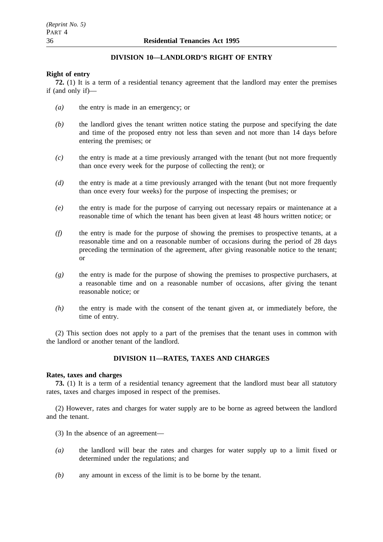# **DIVISION 10—LANDLORD'S RIGHT OF ENTRY**

## **Right of entry**

**72.** (1) It is a term of a residential tenancy agreement that the landlord may enter the premises if (and only if)—

- *(a)* the entry is made in an emergency; or
- *(b)* the landlord gives the tenant written notice stating the purpose and specifying the date and time of the proposed entry not less than seven and not more than 14 days before entering the premises; or
- *(c)* the entry is made at a time previously arranged with the tenant (but not more frequently than once every week for the purpose of collecting the rent); or
- *(d)* the entry is made at a time previously arranged with the tenant (but not more frequently than once every four weeks) for the purpose of inspecting the premises; or
- *(e)* the entry is made for the purpose of carrying out necessary repairs or maintenance at a reasonable time of which the tenant has been given at least 48 hours written notice; or
- *(f)* the entry is made for the purpose of showing the premises to prospective tenants, at a reasonable time and on a reasonable number of occasions during the period of 28 days preceding the termination of the agreement, after giving reasonable notice to the tenant; or
- *(g)* the entry is made for the purpose of showing the premises to prospective purchasers, at a reasonable time and on a reasonable number of occasions, after giving the tenant reasonable notice; or
- *(h)* the entry is made with the consent of the tenant given at, or immediately before, the time of entry.

(2) This section does not apply to a part of the premises that the tenant uses in common with the landlord or another tenant of the landlord.

## **DIVISION 11—RATES, TAXES AND CHARGES**

## **Rates, taxes and charges**

**73.** (1) It is a term of a residential tenancy agreement that the landlord must bear all statutory rates, taxes and charges imposed in respect of the premises.

(2) However, rates and charges for water supply are to be borne as agreed between the landlord and the tenant.

- (3) In the absence of an agreement—
- *(a)* the landlord will bear the rates and charges for water supply up to a limit fixed or determined under the regulations; and
- *(b)* any amount in excess of the limit is to be borne by the tenant.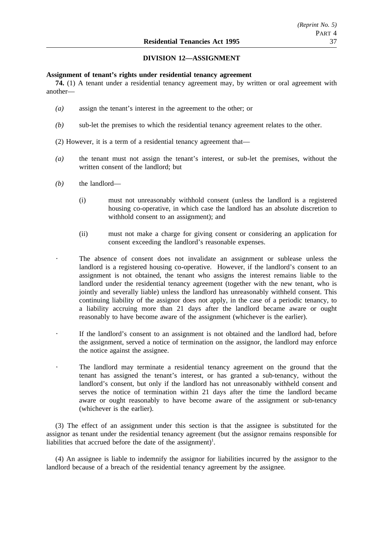## **DIVISION 12—ASSIGNMENT**

## **Assignment of tenant's rights under residential tenancy agreement**

**74.** (1) A tenant under a residential tenancy agreement may, by written or oral agreement with another—

- *(a)* assign the tenant's interest in the agreement to the other; or
- *(b)* sub-let the premises to which the residential tenancy agreement relates to the other.
- (2) However, it is a term of a residential tenancy agreement that—
- *(a)* the tenant must not assign the tenant's interest, or sub-let the premises, without the written consent of the landlord; but
- *(b)* the landlord—
	- (i) must not unreasonably withhold consent (unless the landlord is a registered housing co-operative, in which case the landlord has an absolute discretion to withhold consent to an assignment); and
	- (ii) must not make a charge for giving consent or considering an application for consent exceeding the landlord's reasonable expenses.
	- The absence of consent does not invalidate an assignment or sublease unless the landlord is a registered housing co-operative. However, if the landlord's consent to an assignment is not obtained, the tenant who assigns the interest remains liable to the landlord under the residential tenancy agreement (together with the new tenant, who is jointly and severally liable) unless the landlord has unreasonably withheld consent. This continuing liability of the assignor does not apply, in the case of a periodic tenancy, to a liability accruing more than 21 days after the landlord became aware or ought reasonably to have become aware of the assignment (whichever is the earlier).
	- If the landlord's consent to an assignment is not obtained and the landlord had, before the assignment, served a notice of termination on the assignor, the landlord may enforce the notice against the assignee.
	- The landlord may terminate a residential tenancy agreement on the ground that the tenant has assigned the tenant's interest, or has granted a sub-tenancy, without the landlord's consent, but only if the landlord has not unreasonably withheld consent and serves the notice of termination within 21 days after the time the landlord became aware or ought reasonably to have become aware of the assignment or sub-tenancy (whichever is the earlier).

(3) The effect of an assignment under this section is that the assignee is substituted for the assignor as tenant under the residential tenancy agreement (but the assignor remains responsible for liabilities that accrued before the date of the assignment)<sup>1</sup>.

(4) An assignee is liable to indemnify the assignor for liabilities incurred by the assignor to the landlord because of a breach of the residential tenancy agreement by the assignee.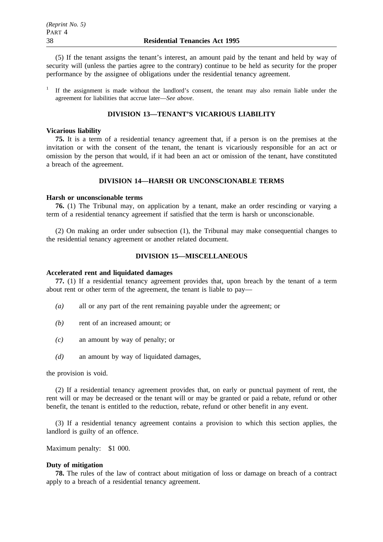(5) If the tenant assigns the tenant's interest, an amount paid by the tenant and held by way of security will (unless the parties agree to the contrary) continue to be held as security for the proper performance by the assignee of obligations under the residential tenancy agreement.

<sup>1</sup> If the assignment is made without the landlord's consent, the tenant may also remain liable under the agreement for liabilities that accrue later—*See above*.

## **DIVISION 13—TENANT'S VICARIOUS LIABILITY**

#### **Vicarious liability**

**75.** It is a term of a residential tenancy agreement that, if a person is on the premises at the invitation or with the consent of the tenant, the tenant is vicariously responsible for an act or omission by the person that would, if it had been an act or omission of the tenant, have constituted a breach of the agreement.

## **DIVISION 14—HARSH OR UNCONSCIONABLE TERMS**

#### **Harsh or unconscionable terms**

**76.** (1) The Tribunal may, on application by a tenant, make an order rescinding or varying a term of a residential tenancy agreement if satisfied that the term is harsh or unconscionable.

(2) On making an order under subsection (1), the Tribunal may make consequential changes to the residential tenancy agreement or another related document.

## **DIVISION 15—MISCELLANEOUS**

#### **Accelerated rent and liquidated damages**

**77.** (1) If a residential tenancy agreement provides that, upon breach by the tenant of a term about rent or other term of the agreement, the tenant is liable to pay—

- *(a)* all or any part of the rent remaining payable under the agreement; or
- *(b)* rent of an increased amount; or
- *(c)* an amount by way of penalty; or
- *(d)* an amount by way of liquidated damages,

the provision is void.

(2) If a residential tenancy agreement provides that, on early or punctual payment of rent, the rent will or may be decreased or the tenant will or may be granted or paid a rebate, refund or other benefit, the tenant is entitled to the reduction, rebate, refund or other benefit in any event.

(3) If a residential tenancy agreement contains a provision to which this section applies, the landlord is guilty of an offence.

Maximum penalty: \$1 000.

#### **Duty of mitigation**

**78.** The rules of the law of contract about mitigation of loss or damage on breach of a contract apply to a breach of a residential tenancy agreement.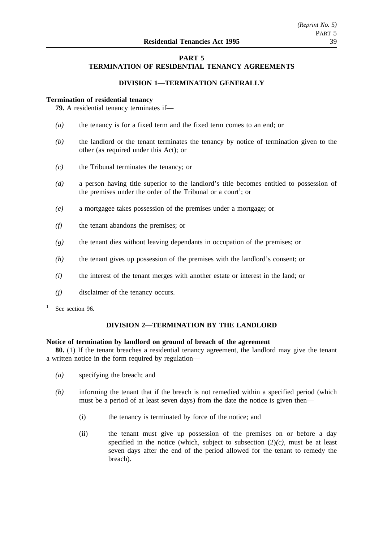## **PART 5 TERMINATION OF RESIDENTIAL TENANCY AGREEMENTS**

## **DIVISION 1—TERMINATION GENERALLY**

## **Termination of residential tenancy**

**79.** A residential tenancy terminates if—

- *(a)* the tenancy is for a fixed term and the fixed term comes to an end; or
- *(b)* the landlord or the tenant terminates the tenancy by notice of termination given to the other (as required under this Act); or
- *(c)* the Tribunal terminates the tenancy; or
- *(d)* a person having title superior to the landlord's title becomes entitled to possession of the premises under the order of the Tribunal or a court<sup>1</sup>; or
- *(e)* a mortgagee takes possession of the premises under a mortgage; or
- *(f)* the tenant abandons the premises; or
- *(g)* the tenant dies without leaving dependants in occupation of the premises; or
- *(h)* the tenant gives up possession of the premises with the landlord's consent; or
- *(i)* the interest of the tenant merges with another estate or interest in the land; or
- *(j)* disclaimer of the tenancy occurs.
- See section 96.

## **DIVISION 2—TERMINATION BY THE LANDLORD**

## **Notice of termination by landlord on ground of breach of the agreement**

**80.** (1) If the tenant breaches a residential tenancy agreement, the landlord may give the tenant a written notice in the form required by regulation—

- *(a)* specifying the breach; and
- *(b)* informing the tenant that if the breach is not remedied within a specified period (which must be a period of at least seven days) from the date the notice is given then—
	- (i) the tenancy is terminated by force of the notice; and
	- (ii) the tenant must give up possession of the premises on or before a day specified in the notice (which, subject to subsection  $(2)(c)$ , must be at least seven days after the end of the period allowed for the tenant to remedy the breach).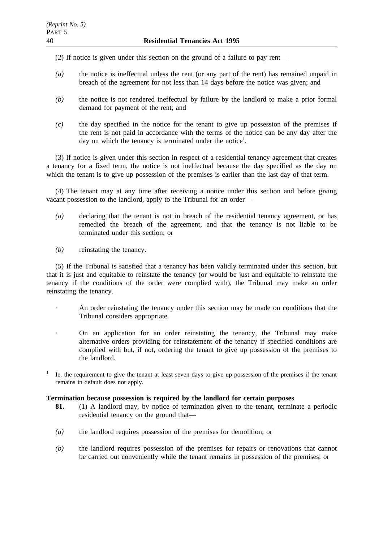(2) If notice is given under this section on the ground of a failure to pay rent—

- *(a)* the notice is ineffectual unless the rent (or any part of the rent) has remained unpaid in breach of the agreement for not less than 14 days before the notice was given; and
- *(b)* the notice is not rendered ineffectual by failure by the landlord to make a prior formal demand for payment of the rent; and
- *(c)* the day specified in the notice for the tenant to give up possession of the premises if the rent is not paid in accordance with the terms of the notice can be any day after the day on which the tenancy is terminated under the notice<sup>1</sup>.

(3) If notice is given under this section in respect of a residential tenancy agreement that creates a tenancy for a fixed term, the notice is not ineffectual because the day specified as the day on which the tenant is to give up possession of the premises is earlier than the last day of that term.

(4) The tenant may at any time after receiving a notice under this section and before giving vacant possession to the landlord, apply to the Tribunal for an order—

- *(a)* declaring that the tenant is not in breach of the residential tenancy agreement, or has remedied the breach of the agreement, and that the tenancy is not liable to be terminated under this section; or
- *(b)* reinstating the tenancy.

(5) If the Tribunal is satisfied that a tenancy has been validly terminated under this section, but that it is just and equitable to reinstate the tenancy (or would be just and equitable to reinstate the tenancy if the conditions of the order were complied with), the Tribunal may make an order reinstating the tenancy.

- An order reinstating the tenancy under this section may be made on conditions that the Tribunal considers appropriate.
- On an application for an order reinstating the tenancy, the Tribunal may make alternative orders providing for reinstatement of the tenancy if specified conditions are complied with but, if not, ordering the tenant to give up possession of the premises to the landlord.
- <sup>1</sup> Ie. the requirement to give the tenant at least seven days to give up possession of the premises if the tenant remains in default does not apply.

## **Termination because possession is required by the landlord for certain purposes**

- **81.** (1) A landlord may, by notice of termination given to the tenant, terminate a periodic residential tenancy on the ground that—
- *(a)* the landlord requires possession of the premises for demolition; or
- *(b)* the landlord requires possession of the premises for repairs or renovations that cannot be carried out conveniently while the tenant remains in possession of the premises; or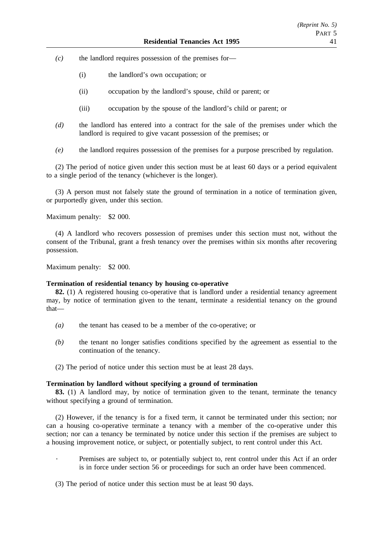*(c)* the landlord requires possession of the premises for—

- (i) the landlord's own occupation; or
- (ii) occupation by the landlord's spouse, child or parent; or
- (iii) occupation by the spouse of the landlord's child or parent; or
- *(d)* the landlord has entered into a contract for the sale of the premises under which the landlord is required to give vacant possession of the premises; or
- *(e)* the landlord requires possession of the premises for a purpose prescribed by regulation.

(2) The period of notice given under this section must be at least 60 days or a period equivalent to a single period of the tenancy (whichever is the longer).

(3) A person must not falsely state the ground of termination in a notice of termination given, or purportedly given, under this section.

Maximum penalty: \$2 000.

(4) A landlord who recovers possession of premises under this section must not, without the consent of the Tribunal, grant a fresh tenancy over the premises within six months after recovering possession.

Maximum penalty: \$2 000.

### **Termination of residential tenancy by housing co-operative**

**82.** (1) A registered housing co-operative that is landlord under a residential tenancy agreement may, by notice of termination given to the tenant, terminate a residential tenancy on the ground that—

- *(a)* the tenant has ceased to be a member of the co-operative; or
- *(b)* the tenant no longer satisfies conditions specified by the agreement as essential to the continuation of the tenancy.
- (2) The period of notice under this section must be at least 28 days.

## **Termination by landlord without specifying a ground of termination**

**83.** (1) A landlord may, by notice of termination given to the tenant, terminate the tenancy without specifying a ground of termination.

(2) However, if the tenancy is for a fixed term, it cannot be terminated under this section; nor can a housing co-operative terminate a tenancy with a member of the co-operative under this section; nor can a tenancy be terminated by notice under this section if the premises are subject to a housing improvement notice, or subject, or potentially subject, to rent control under this Act.

Premises are subject to, or potentially subject to, rent control under this Act if an order is in force under section 56 or proceedings for such an order have been commenced.

(3) The period of notice under this section must be at least 90 days.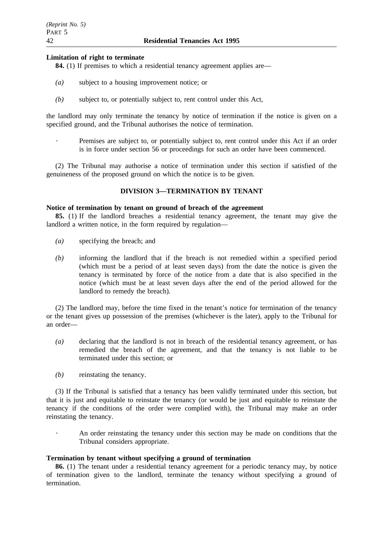## **Limitation of right to terminate**

**84.** (1) If premises to which a residential tenancy agreement applies are—

- *(a)* subject to a housing improvement notice; or
- *(b)* subject to, or potentially subject to, rent control under this Act,

the landlord may only terminate the tenancy by notice of termination if the notice is given on a specified ground, and the Tribunal authorises the notice of termination.

Premises are subject to, or potentially subject to, rent control under this Act if an order is in force under section 56 or proceedings for such an order have been commenced.

(2) The Tribunal may authorise a notice of termination under this section if satisfied of the genuineness of the proposed ground on which the notice is to be given.

## **DIVISION 3—TERMINATION BY TENANT**

## **Notice of termination by tenant on ground of breach of the agreement**

**85.** (1) If the landlord breaches a residential tenancy agreement, the tenant may give the landlord a written notice, in the form required by regulation—

- *(a)* specifying the breach; and
- *(b)* informing the landlord that if the breach is not remedied within a specified period (which must be a period of at least seven days) from the date the notice is given the tenancy is terminated by force of the notice from a date that is also specified in the notice (which must be at least seven days after the end of the period allowed for the landlord to remedy the breach).

(2) The landlord may, before the time fixed in the tenant's notice for termination of the tenancy or the tenant gives up possession of the premises (whichever is the later), apply to the Tribunal for an order—

- *(a)* declaring that the landlord is not in breach of the residential tenancy agreement, or has remedied the breach of the agreement, and that the tenancy is not liable to be terminated under this section; or
- *(b)* reinstating the tenancy.

(3) If the Tribunal is satisfied that a tenancy has been validly terminated under this section, but that it is just and equitable to reinstate the tenancy (or would be just and equitable to reinstate the tenancy if the conditions of the order were complied with), the Tribunal may make an order reinstating the tenancy.

> An order reinstating the tenancy under this section may be made on conditions that the Tribunal considers appropriate.

## **Termination by tenant without specifying a ground of termination**

**86.** (1) The tenant under a residential tenancy agreement for a periodic tenancy may, by notice of termination given to the landlord, terminate the tenancy without specifying a ground of termination.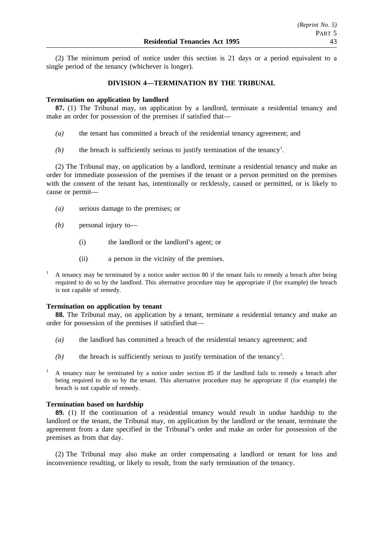(2) The minimum period of notice under this section is 21 days or a period equivalent to a single period of the tenancy (whichever is longer).

## **DIVISION 4—TERMINATION BY THE TRIBUNAL**

## **Termination on application by landlord**

**87.** (1) The Tribunal may, on application by a landlord, terminate a residential tenancy and make an order for possession of the premises if satisfied that—

- *(a)* the tenant has committed a breach of the residential tenancy agreement; and
- $(b)$  the breach is sufficiently serious to justify termination of the tenancy<sup>1</sup>.

(2) The Tribunal may, on application by a landlord, terminate a residential tenancy and make an order for immediate possession of the premises if the tenant or a person permitted on the premises with the consent of the tenant has, intentionally or recklessly, caused or permitted, or is likely to cause or permit—

- *(a)* serious damage to the premises; or
- *(b)* personal injury to—
	- (i) the landlord or the landlord's agent; or
	- (ii) a person in the vicinity of the premises.
- <sup>1</sup> A tenancy may be terminated by a notice under section 80 if the tenant fails to remedy a breach after being required to do so by the landlord. This alternative procedure may be appropriate if (for example) the breach is not capable of remedy.

## **Termination on application by tenant**

**88.** The Tribunal may, on application by a tenant, terminate a residential tenancy and make an order for possession of the premises if satisfied that—

- *(a)* the landlord has committed a breach of the residential tenancy agreement; and
- $(b)$  the breach is sufficiently serious to justify termination of the tenancy<sup>1</sup>.
- <sup>1</sup> A tenancy may be terminated by a notice under section 85 if the landlord fails to remedy a breach after being required to do so by the tenant. This alternative procedure may be appropriate if (for example) the breach is not capable of remedy.

## **Termination based on hardship**

**89.** (1) If the continuation of a residential tenancy would result in undue hardship to the landlord or the tenant, the Tribunal may, on application by the landlord or the tenant, terminate the agreement from a date specified in the Tribunal's order and make an order for possession of the premises as from that day.

(2) The Tribunal may also make an order compensating a landlord or tenant for loss and inconvenience resulting, or likely to result, from the early termination of the tenancy.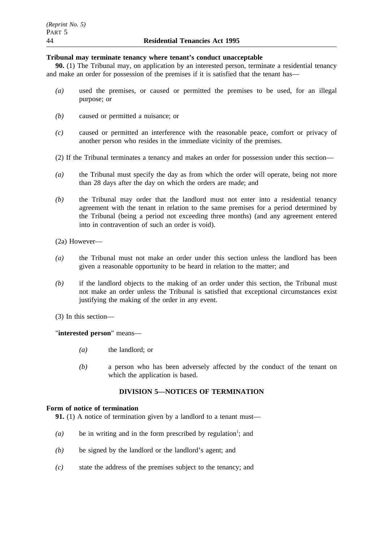# **Tribunal may terminate tenancy where tenant's conduct unacceptable**

**90.** (1) The Tribunal may, on application by an interested person, terminate a residential tenancy and make an order for possession of the premises if it is satisfied that the tenant has—

- *(a)* used the premises, or caused or permitted the premises to be used, for an illegal purpose; or
- *(b)* caused or permitted a nuisance; or
- *(c)* caused or permitted an interference with the reasonable peace, comfort or privacy of another person who resides in the immediate vicinity of the premises.
- (2) If the Tribunal terminates a tenancy and makes an order for possession under this section—
- *(a)* the Tribunal must specify the day as from which the order will operate, being not more than 28 days after the day on which the orders are made; and
- *(b)* the Tribunal may order that the landlord must not enter into a residential tenancy agreement with the tenant in relation to the same premises for a period determined by the Tribunal (being a period not exceeding three months) (and any agreement entered into in contravention of such an order is void).

(2a) However—

- *(a)* the Tribunal must not make an order under this section unless the landlord has been given a reasonable opportunity to be heard in relation to the matter; and
- *(b)* if the landlord objects to the making of an order under this section, the Tribunal must not make an order unless the Tribunal is satisfied that exceptional circumstances exist justifying the making of the order in any event.
- (3) In this section—

## "**interested person**" means—

- *(a)* the landlord; or
- *(b)* a person who has been adversely affected by the conduct of the tenant on which the application is based.

# **DIVISION 5—NOTICES OF TERMINATION**

## **Form of notice of termination**

**91.** (1) A notice of termination given by a landlord to a tenant must—

- $(a)$  be in writing and in the form prescribed by regulation<sup>1</sup>; and
- *(b)* be signed by the landlord or the landlord's agent; and
- *(c)* state the address of the premises subject to the tenancy; and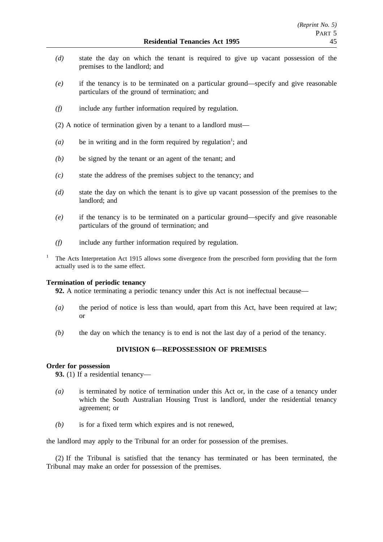- *(d)* state the day on which the tenant is required to give up vacant possession of the premises to the landlord; and
- *(e)* if the tenancy is to be terminated on a particular ground—specify and give reasonable particulars of the ground of termination; and
- *(f)* include any further information required by regulation.
- (2) A notice of termination given by a tenant to a landlord must—
- $(a)$  be in writing and in the form required by regulation<sup>1</sup>; and
- *(b)* be signed by the tenant or an agent of the tenant; and
- *(c)* state the address of the premises subject to the tenancy; and
- *(d)* state the day on which the tenant is to give up vacant possession of the premises to the landlord; and
- *(e)* if the tenancy is to be terminated on a particular ground—specify and give reasonable particulars of the ground of termination; and
- *(f)* include any further information required by regulation.
- <sup>1</sup> The Acts Interpretation Act 1915 allows some divergence from the prescribed form providing that the form actually used is to the same effect.

## **Termination of periodic tenancy**

**92.** A notice terminating a periodic tenancy under this Act is not ineffectual because—

- *(a)* the period of notice is less than would, apart from this Act, have been required at law; or
- *(b)* the day on which the tenancy is to end is not the last day of a period of the tenancy.

## **DIVISION 6—REPOSSESSION OF PREMISES**

## **Order for possession**

**93.** (1) If a residential tenancy—

- *(a)* is terminated by notice of termination under this Act or, in the case of a tenancy under which the South Australian Housing Trust is landlord, under the residential tenancy agreement; or
- *(b)* is for a fixed term which expires and is not renewed,

the landlord may apply to the Tribunal for an order for possession of the premises.

(2) If the Tribunal is satisfied that the tenancy has terminated or has been terminated, the Tribunal may make an order for possession of the premises.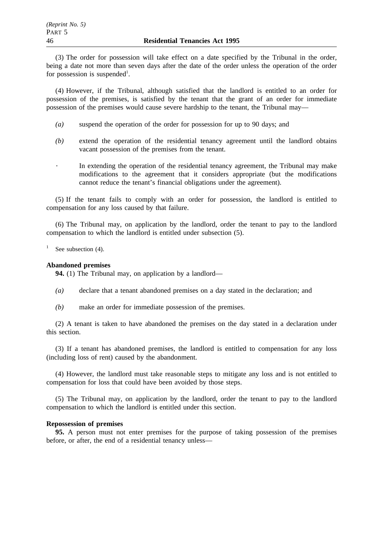(3) The order for possession will take effect on a date specified by the Tribunal in the order, being a date not more than seven days after the date of the order unless the operation of the order for possession is suspended<sup>1</sup>.

(4) However, if the Tribunal, although satisfied that the landlord is entitled to an order for possession of the premises, is satisfied by the tenant that the grant of an order for immediate possession of the premises would cause severe hardship to the tenant, the Tribunal may—

- *(a)* suspend the operation of the order for possession for up to 90 days; and
- *(b)* extend the operation of the residential tenancy agreement until the landlord obtains vacant possession of the premises from the tenant.
	- In extending the operation of the residential tenancy agreement, the Tribunal may make modifications to the agreement that it considers appropriate (but the modifications cannot reduce the tenant's financial obligations under the agreement).

(5) If the tenant fails to comply with an order for possession, the landlord is entitled to compensation for any loss caused by that failure.

(6) The Tribunal may, on application by the landlord, order the tenant to pay to the landlord compensation to which the landlord is entitled under subsection (5).

See subsection (4).

# **Abandoned premises**

**94.** (1) The Tribunal may, on application by a landlord—

- *(a)* declare that a tenant abandoned premises on a day stated in the declaration; and
- *(b)* make an order for immediate possession of the premises.

(2) A tenant is taken to have abandoned the premises on the day stated in a declaration under this section.

(3) If a tenant has abandoned premises, the landlord is entitled to compensation for any loss (including loss of rent) caused by the abandonment.

(4) However, the landlord must take reasonable steps to mitigate any loss and is not entitled to compensation for loss that could have been avoided by those steps.

(5) The Tribunal may, on application by the landlord, order the tenant to pay to the landlord compensation to which the landlord is entitled under this section.

## **Repossession of premises**

**95.** A person must not enter premises for the purpose of taking possession of the premises before, or after, the end of a residential tenancy unless—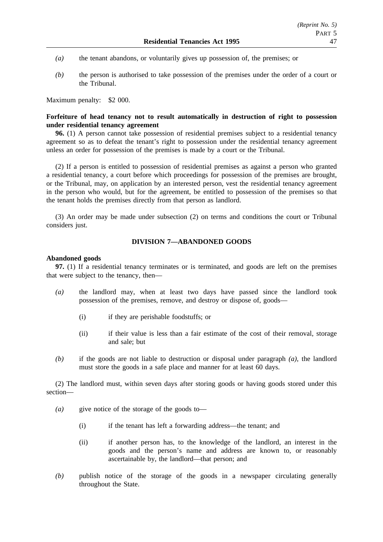- *(a)* the tenant abandons, or voluntarily gives up possession of, the premises; or
- *(b)* the person is authorised to take possession of the premises under the order of a court or the Tribunal.

Maximum penalty: \$2 000.

## **Forfeiture of head tenancy not to result automatically in destruction of right to possession under residential tenancy agreement**

**96.** (1) A person cannot take possession of residential premises subject to a residential tenancy agreement so as to defeat the tenant's right to possession under the residential tenancy agreement unless an order for possession of the premises is made by a court or the Tribunal.

(2) If a person is entitled to possession of residential premises as against a person who granted a residential tenancy, a court before which proceedings for possession of the premises are brought, or the Tribunal, may, on application by an interested person, vest the residential tenancy agreement in the person who would, but for the agreement, be entitled to possession of the premises so that the tenant holds the premises directly from that person as landlord.

(3) An order may be made under subsection (2) on terms and conditions the court or Tribunal considers just.

## **DIVISION 7—ABANDONED GOODS**

### **Abandoned goods**

**97.** (1) If a residential tenancy terminates or is terminated, and goods are left on the premises that were subject to the tenancy, then—

- *(a)* the landlord may, when at least two days have passed since the landlord took possession of the premises, remove, and destroy or dispose of, goods—
	- (i) if they are perishable foodstuffs; or
	- (ii) if their value is less than a fair estimate of the cost of their removal, storage and sale; but
- *(b)* if the goods are not liable to destruction or disposal under paragraph *(a)*, the landlord must store the goods in a safe place and manner for at least 60 days.

(2) The landlord must, within seven days after storing goods or having goods stored under this section—

- *(a)* give notice of the storage of the goods to—
	- (i) if the tenant has left a forwarding address—the tenant; and
	- (ii) if another person has, to the knowledge of the landlord, an interest in the goods and the person's name and address are known to, or reasonably ascertainable by, the landlord—that person; and
- *(b)* publish notice of the storage of the goods in a newspaper circulating generally throughout the State.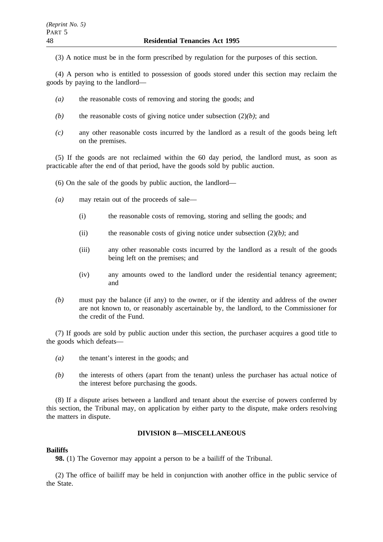(3) A notice must be in the form prescribed by regulation for the purposes of this section.

(4) A person who is entitled to possession of goods stored under this section may reclaim the goods by paying to the landlord—

- *(a)* the reasonable costs of removing and storing the goods; and
- *(b)* the reasonable costs of giving notice under subsection (2)*(b)*; and
- *(c)* any other reasonable costs incurred by the landlord as a result of the goods being left on the premises.

(5) If the goods are not reclaimed within the 60 day period, the landlord must, as soon as practicable after the end of that period, have the goods sold by public auction.

(6) On the sale of the goods by public auction, the landlord—

- *(a)* may retain out of the proceeds of sale—
	- (i) the reasonable costs of removing, storing and selling the goods; and
	- (ii) the reasonable costs of giving notice under subsection (2)*(b)*; and
	- (iii) any other reasonable costs incurred by the landlord as a result of the goods being left on the premises; and
	- (iv) any amounts owed to the landlord under the residential tenancy agreement; and
- *(b)* must pay the balance (if any) to the owner, or if the identity and address of the owner are not known to, or reasonably ascertainable by, the landlord, to the Commissioner for the credit of the Fund.

(7) If goods are sold by public auction under this section, the purchaser acquires a good title to the goods which defeats—

- *(a)* the tenant's interest in the goods; and
- *(b)* the interests of others (apart from the tenant) unless the purchaser has actual notice of the interest before purchasing the goods.

(8) If a dispute arises between a landlord and tenant about the exercise of powers conferred by this section, the Tribunal may, on application by either party to the dispute, make orders resolving the matters in dispute.

## **DIVISION 8—MISCELLANEOUS**

## **Bailiffs**

**98.** (1) The Governor may appoint a person to be a bailiff of the Tribunal.

(2) The office of bailiff may be held in conjunction with another office in the public service of the State.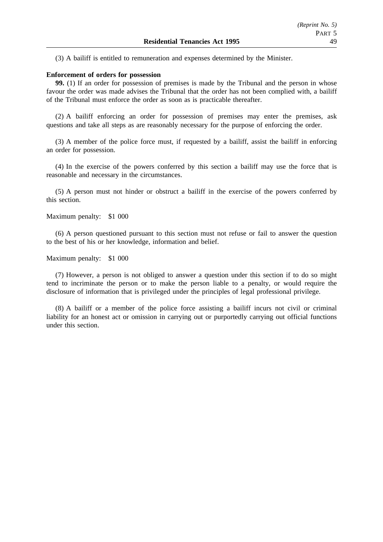(3) A bailiff is entitled to remuneration and expenses determined by the Minister.

## **Enforcement of orders for possession**

**99.** (1) If an order for possession of premises is made by the Tribunal and the person in whose favour the order was made advises the Tribunal that the order has not been complied with, a bailiff of the Tribunal must enforce the order as soon as is practicable thereafter.

(2) A bailiff enforcing an order for possession of premises may enter the premises, ask questions and take all steps as are reasonably necessary for the purpose of enforcing the order.

(3) A member of the police force must, if requested by a bailiff, assist the bailiff in enforcing an order for possession.

(4) In the exercise of the powers conferred by this section a bailiff may use the force that is reasonable and necessary in the circumstances.

(5) A person must not hinder or obstruct a bailiff in the exercise of the powers conferred by this section.

Maximum penalty: \$1 000

(6) A person questioned pursuant to this section must not refuse or fail to answer the question to the best of his or her knowledge, information and belief.

Maximum penalty: \$1 000

(7) However, a person is not obliged to answer a question under this section if to do so might tend to incriminate the person or to make the person liable to a penalty, or would require the disclosure of information that is privileged under the principles of legal professional privilege.

(8) A bailiff or a member of the police force assisting a bailiff incurs not civil or criminal liability for an honest act or omission in carrying out or purportedly carrying out official functions under this section.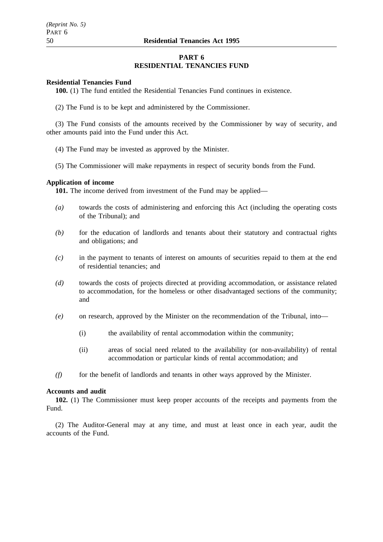## **PART 6 RESIDENTIAL TENANCIES FUND**

## **Residential Tenancies Fund**

**100.** (1) The fund entitled the Residential Tenancies Fund continues in existence.

(2) The Fund is to be kept and administered by the Commissioner.

(3) The Fund consists of the amounts received by the Commissioner by way of security, and other amounts paid into the Fund under this Act.

- (4) The Fund may be invested as approved by the Minister.
- (5) The Commissioner will make repayments in respect of security bonds from the Fund.

## **Application of income**

101. The income derived from investment of the Fund may be applied—

- *(a)* towards the costs of administering and enforcing this Act (including the operating costs of the Tribunal); and
- *(b)* for the education of landlords and tenants about their statutory and contractual rights and obligations; and
- *(c)* in the payment to tenants of interest on amounts of securities repaid to them at the end of residential tenancies; and
- *(d)* towards the costs of projects directed at providing accommodation, or assistance related to accommodation, for the homeless or other disadvantaged sections of the community; and
- *(e)* on research, approved by the Minister on the recommendation of the Tribunal, into—
	- (i) the availability of rental accommodation within the community;
	- (ii) areas of social need related to the availability (or non-availability) of rental accommodation or particular kinds of rental accommodation; and
- *(f)* for the benefit of landlords and tenants in other ways approved by the Minister.

## **Accounts and audit**

**102.** (1) The Commissioner must keep proper accounts of the receipts and payments from the Fund.

(2) The Auditor-General may at any time, and must at least once in each year, audit the accounts of the Fund.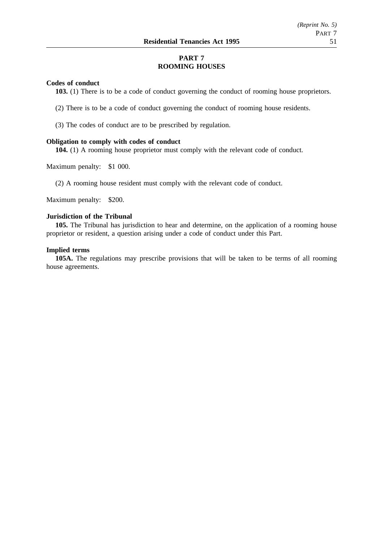# **PART 7 ROOMING HOUSES**

## **Codes of conduct**

**103.** (1) There is to be a code of conduct governing the conduct of rooming house proprietors.

- (2) There is to be a code of conduct governing the conduct of rooming house residents.
- (3) The codes of conduct are to be prescribed by regulation.

## **Obligation to comply with codes of conduct**

**104.** (1) A rooming house proprietor must comply with the relevant code of conduct.

Maximum penalty: \$1 000.

(2) A rooming house resident must comply with the relevant code of conduct.

Maximum penalty: \$200.

## **Jurisdiction of the Tribunal**

**105.** The Tribunal has jurisdiction to hear and determine, on the application of a rooming house proprietor or resident, a question arising under a code of conduct under this Part.

## **Implied terms**

**105A.** The regulations may prescribe provisions that will be taken to be terms of all rooming house agreements.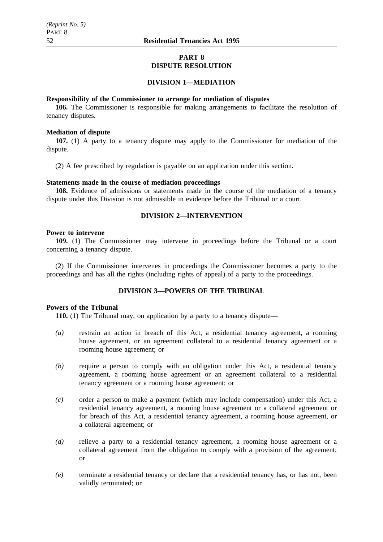## **PART 8 DISPUTE RESOLUTION**

## **DIVISION 1—MEDIATION**

#### **Responsibility of the Commissioner to arrange for mediation of disputes**

**106.** The Commissioner is responsible for making arrangements to facilitate the resolution of tenancy disputes.

## **Mediation of dispute**

**107.** (1) A party to a tenancy dispute may apply to the Commissioner for mediation of the dispute.

(2) A fee prescribed by regulation is payable on an application under this section.

## **Statements made in the course of mediation proceedings**

**108.** Evidence of admissions or statements made in the course of the mediation of a tenancy dispute under this Division is not admissible in evidence before the Tribunal or a court.

## **DIVISION 2—INTERVENTION**

#### **Power to intervene**

**109.** (1) The Commissioner may intervene in proceedings before the Tribunal or a court concerning a tenancy dispute.

(2) If the Commissioner intervenes in proceedings the Commissioner becomes a party to the proceedings and has all the rights (including rights of appeal) of a party to the proceedings.

## **DIVISION 3—POWERS OF THE TRIBUNAL**

## **Powers of the Tribunal**

**110.** (1) The Tribunal may, on application by a party to a tenancy dispute—

- *(a)* restrain an action in breach of this Act, a residential tenancy agreement, a rooming house agreement, or an agreement collateral to a residential tenancy agreement or a rooming house agreement; or
- *(b)* require a person to comply with an obligation under this Act, a residential tenancy agreement, a rooming house agreement or an agreement collateral to a residential tenancy agreement or a rooming house agreement; or
- *(c)* order a person to make a payment (which may include compensation) under this Act, a residential tenancy agreement, a rooming house agreement or a collateral agreement or for breach of this Act, a residential tenancy agreement, a rooming house agreement, or a collateral agreement; or
- *(d)* relieve a party to a residential tenancy agreement, a rooming house agreement or a collateral agreement from the obligation to comply with a provision of the agreement; or
- *(e)* terminate a residential tenancy or declare that a residential tenancy has, or has not, been validly terminated; or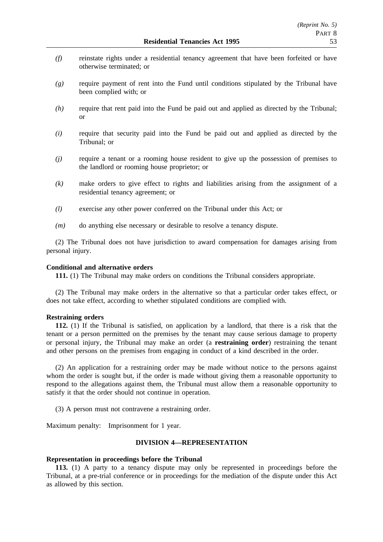- *(f)* reinstate rights under a residential tenancy agreement that have been forfeited or have otherwise terminated; or
- *(g)* require payment of rent into the Fund until conditions stipulated by the Tribunal have been complied with; or
- *(h)* require that rent paid into the Fund be paid out and applied as directed by the Tribunal; or
- *(i)* require that security paid into the Fund be paid out and applied as directed by the Tribunal; or
- *(j)* require a tenant or a rooming house resident to give up the possession of premises to the landlord or rooming house proprietor; or
- *(k)* make orders to give effect to rights and liabilities arising from the assignment of a residential tenancy agreement; or
- *(l)* exercise any other power conferred on the Tribunal under this Act; or
- *(m)* do anything else necessary or desirable to resolve a tenancy dispute.

(2) The Tribunal does not have jurisdiction to award compensation for damages arising from personal injury.

## **Conditional and alternative orders**

**111.** (1) The Tribunal may make orders on conditions the Tribunal considers appropriate.

(2) The Tribunal may make orders in the alternative so that a particular order takes effect, or does not take effect, according to whether stipulated conditions are complied with.

## **Restraining orders**

**112.** (1) If the Tribunal is satisfied, on application by a landlord, that there is a risk that the tenant or a person permitted on the premises by the tenant may cause serious damage to property or personal injury, the Tribunal may make an order (a **restraining order**) restraining the tenant and other persons on the premises from engaging in conduct of a kind described in the order.

(2) An application for a restraining order may be made without notice to the persons against whom the order is sought but, if the order is made without giving them a reasonable opportunity to respond to the allegations against them, the Tribunal must allow them a reasonable opportunity to satisfy it that the order should not continue in operation.

(3) A person must not contravene a restraining order.

Maximum penalty: Imprisonment for 1 year.

## **DIVISION 4—REPRESENTATION**

#### **Representation in proceedings before the Tribunal**

**113.** (1) A party to a tenancy dispute may only be represented in proceedings before the Tribunal, at a pre-trial conference or in proceedings for the mediation of the dispute under this Act as allowed by this section.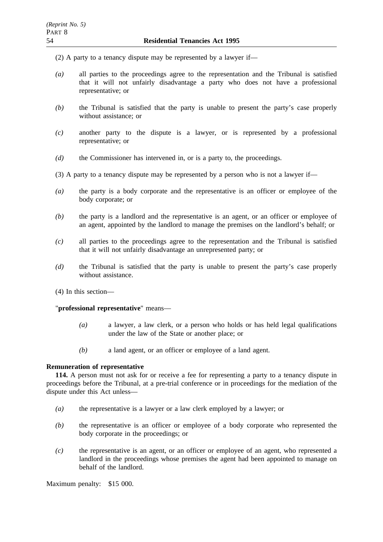(2) A party to a tenancy dispute may be represented by a lawyer if—

- *(a)* all parties to the proceedings agree to the representation and the Tribunal is satisfied that it will not unfairly disadvantage a party who does not have a professional representative; or
- *(b)* the Tribunal is satisfied that the party is unable to present the party's case properly without assistance; or
- *(c)* another party to the dispute is a lawyer, or is represented by a professional representative; or
- *(d)* the Commissioner has intervened in, or is a party to, the proceedings.
- (3) A party to a tenancy dispute may be represented by a person who is not a lawyer if—
- *(a)* the party is a body corporate and the representative is an officer or employee of the body corporate; or
- *(b)* the party is a landlord and the representative is an agent, or an officer or employee of an agent, appointed by the landlord to manage the premises on the landlord's behalf; or
- *(c)* all parties to the proceedings agree to the representation and the Tribunal is satisfied that it will not unfairly disadvantage an unrepresented party; or
- *(d)* the Tribunal is satisfied that the party is unable to present the party's case properly without assistance.
- (4) In this section—

"**professional representative**" means—

- *(a)* a lawyer, a law clerk, or a person who holds or has held legal qualifications under the law of the State or another place; or
- *(b)* a land agent, or an officer or employee of a land agent.

## **Remuneration of representative**

**114.** A person must not ask for or receive a fee for representing a party to a tenancy dispute in proceedings before the Tribunal, at a pre-trial conference or in proceedings for the mediation of the dispute under this Act unless—

- *(a)* the representative is a lawyer or a law clerk employed by a lawyer; or
- *(b)* the representative is an officer or employee of a body corporate who represented the body corporate in the proceedings; or
- *(c)* the representative is an agent, or an officer or employee of an agent, who represented a landlord in the proceedings whose premises the agent had been appointed to manage on behalf of the landlord.

Maximum penalty: \$15 000.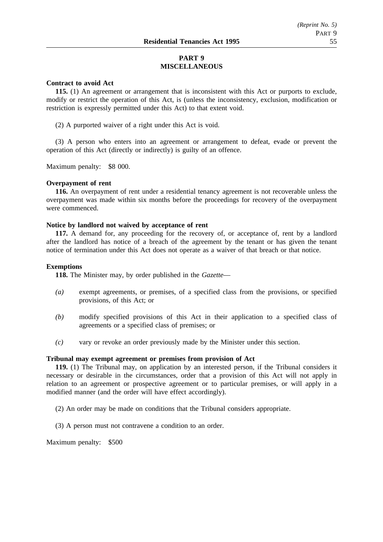# **PART 9 MISCELLANEOUS**

## **Contract to avoid Act**

**115.** (1) An agreement or arrangement that is inconsistent with this Act or purports to exclude, modify or restrict the operation of this Act, is (unless the inconsistency, exclusion, modification or restriction is expressly permitted under this Act) to that extent void.

(2) A purported waiver of a right under this Act is void.

(3) A person who enters into an agreement or arrangement to defeat, evade or prevent the operation of this Act (directly or indirectly) is guilty of an offence.

Maximum penalty: \$8 000.

### **Overpayment of rent**

**116.** An overpayment of rent under a residential tenancy agreement is not recoverable unless the overpayment was made within six months before the proceedings for recovery of the overpayment were commenced.

### **Notice by landlord not waived by acceptance of rent**

**117.** A demand for, any proceeding for the recovery of, or acceptance of, rent by a landlord after the landlord has notice of a breach of the agreement by the tenant or has given the tenant notice of termination under this Act does not operate as a waiver of that breach or that notice.

### **Exemptions**

**118.** The Minister may, by order published in the *Gazette*—

- *(a)* exempt agreements, or premises, of a specified class from the provisions, or specified provisions, of this Act; or
- *(b)* modify specified provisions of this Act in their application to a specified class of agreements or a specified class of premises; or
- *(c)* vary or revoke an order previously made by the Minister under this section.

## **Tribunal may exempt agreement or premises from provision of Act**

**119.** (1) The Tribunal may, on application by an interested person, if the Tribunal considers it necessary or desirable in the circumstances, order that a provision of this Act will not apply in relation to an agreement or prospective agreement or to particular premises, or will apply in a modified manner (and the order will have effect accordingly).

- (2) An order may be made on conditions that the Tribunal considers appropriate.
- (3) A person must not contravene a condition to an order.

Maximum penalty: \$500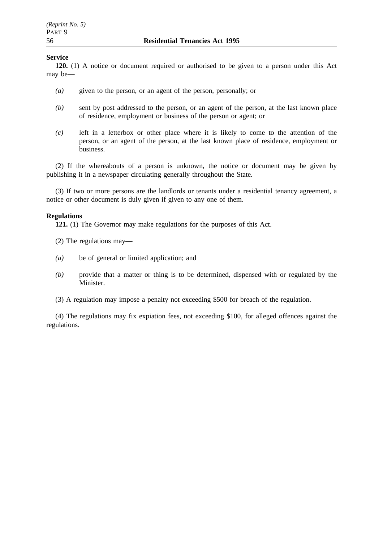## **Service**

**120.** (1) A notice or document required or authorised to be given to a person under this Act may be—

- *(a)* given to the person, or an agent of the person, personally; or
- *(b)* sent by post addressed to the person, or an agent of the person, at the last known place of residence, employment or business of the person or agent; or
- *(c)* left in a letterbox or other place where it is likely to come to the attention of the person, or an agent of the person, at the last known place of residence, employment or business.

(2) If the whereabouts of a person is unknown, the notice or document may be given by publishing it in a newspaper circulating generally throughout the State.

(3) If two or more persons are the landlords or tenants under a residential tenancy agreement, a notice or other document is duly given if given to any one of them.

## **Regulations**

**121.** (1) The Governor may make regulations for the purposes of this Act.

(2) The regulations may—

- *(a)* be of general or limited application; and
- *(b)* provide that a matter or thing is to be determined, dispensed with or regulated by the Minister.
- (3) A regulation may impose a penalty not exceeding \$500 for breach of the regulation.

(4) The regulations may fix expiation fees, not exceeding \$100, for alleged offences against the regulations.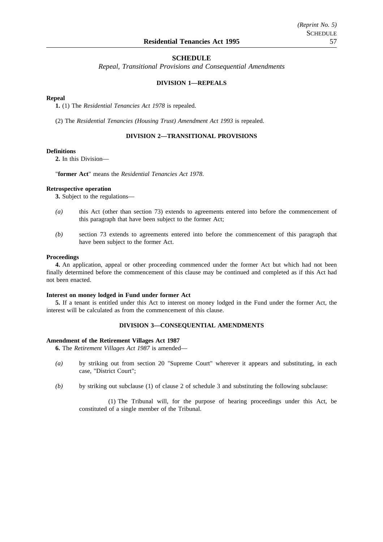#### **SCHEDULE**

*Repeal, Transitional Provisions and Consequential Amendments*

#### **DIVISION 1—REPEALS**

#### **Repeal**

**1.** (1) The *Residential Tenancies Act 1978* is repealed.

(2) The *Residential Tenancies (Housing Trust) Amendment Act 1993* is repealed.

#### **DIVISION 2—TRANSITIONAL PROVISIONS**

#### **Definitions**

**2.** In this Division—

"**former Act**" means the *Residential Tenancies Act 1978*.

#### **Retrospective operation**

**3.** Subject to the regulations—

- *(a)* this Act (other than section 73) extends to agreements entered into before the commencement of this paragraph that have been subject to the former Act;
- *(b)* section 73 extends to agreements entered into before the commencement of this paragraph that have been subject to the former Act.

#### **Proceedings**

**4.** An application, appeal or other proceeding commenced under the former Act but which had not been finally determined before the commencement of this clause may be continued and completed as if this Act had not been enacted.

#### **Interest on money lodged in Fund under former Act**

**5.** If a tenant is entitled under this Act to interest on money lodged in the Fund under the former Act, the interest will be calculated as from the commencement of this clause.

#### **DIVISION 3—CONSEQUENTIAL AMENDMENTS**

#### **Amendment of the Retirement Villages Act 1987**

**6.** The *Retirement Villages Act 1987* is amended—

- *(a)* by striking out from section 20 "Supreme Court" wherever it appears and substituting, in each case, "District Court";
- *(b)* by striking out subclause (1) of clause 2 of schedule 3 and substituting the following subclause:

(1) The Tribunal will, for the purpose of hearing proceedings under this Act, be constituted of a single member of the Tribunal.